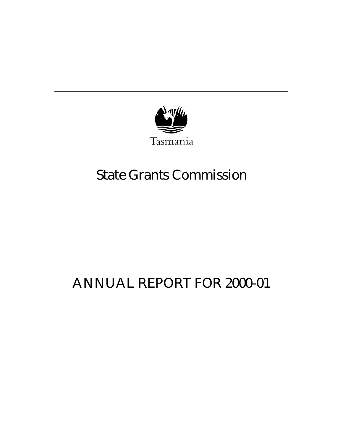

# State Grants Commission

# ANNUAL REPORT FOR 2000-01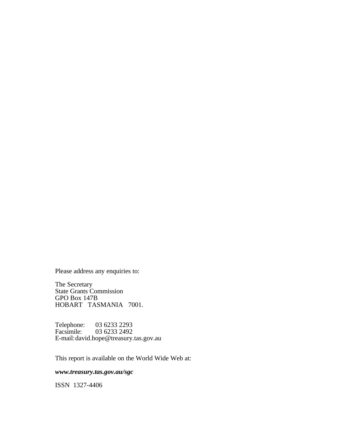Please address any enquiries to:

The Secretary State Grants Commission GPO Box 147B HOBART TASMANIA 7001.

Telephone: 03 6233 2293<br>Facsimile: 03 6233 2492 03 6233 2492 E-mail:david.hope@treasury.tas.gov.au

This report is available on the World Wide Web at:

*www.treasury.tas.gov.au/sgc*

ISSN 1327-4406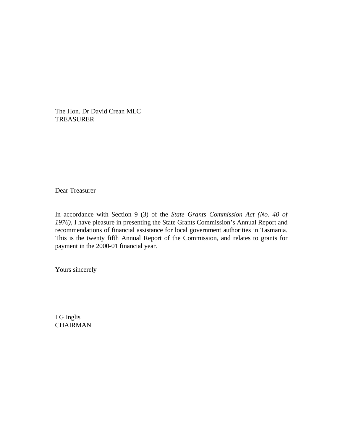The Hon. Dr David Crean MLC TREASURER

Dear Treasurer

In accordance with Section 9 (3) of the *State Grants Commission Act (No. 40 of 1976)*, I have pleasure in presenting the State Grants Commission's Annual Report and recommendations of financial assistance for local government authorities in Tasmania. This is the twenty fifth Annual Report of the Commission, and relates to grants for payment in the 2000-01 financial year.

Yours sincerely

I G Inglis **CHAIRMAN**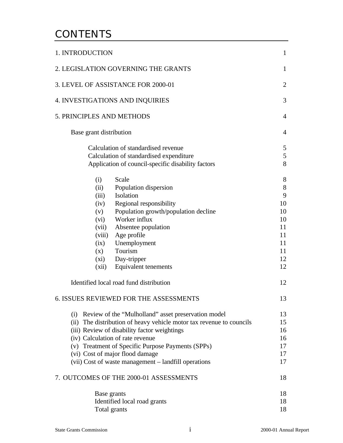# **CONTENTS**

| 1. INTRODUCTION                                                      | $\mathbf{1}$   |
|----------------------------------------------------------------------|----------------|
| 2. LEGISLATION GOVERNING THE GRANTS                                  | $\mathbf{1}$   |
| 3. LEVEL OF ASSISTANCE FOR 2000-01                                   | $\overline{2}$ |
| <b>4. INVESTIGATIONS AND INQUIRIES</b>                               | 3              |
| <b>5. PRINCIPLES AND METHODS</b>                                     | 4              |
| Base grant distribution                                              | $\overline{4}$ |
| Calculation of standardised revenue                                  | 5              |
| Calculation of standardised expenditure                              | 5              |
| Application of council-specific disability factors                   | 8              |
| Scale<br>(i)                                                         | 8              |
| Population dispersion<br>(ii)                                        | 8              |
| (iii) Isolation                                                      | 9              |
| (iv) Regional responsibility                                         | 10             |
| (v) Population growth/population decline                             | 10             |
| (vi) Worker influx                                                   | 10             |
| Absentee population<br>(vii)                                         | 11             |
| Age profile<br>(viii)                                                | 11             |
| (ix) Unemployment                                                    | 11             |
| $(x)$ Tourism                                                        | 11             |
| (xi) Day-tripper                                                     | 12             |
| (xii) Equivalent tenements                                           | 12             |
| Identified local road fund distribution                              | 12             |
| <b>6. ISSUES REVIEWED FOR THE ASSESSMENTS</b>                        | 13             |
| (i) Review of the "Mulholland" asset preservation model              | 13             |
| (ii) The distribution of heavy vehicle motor tax revenue to councils | 15             |
| (iii) Review of disability factor weightings                         | 16             |
| (iv) Calculation of rate revenue                                     | 16             |
| (v) Treatment of Specific Purpose Payments (SPPs)                    | 17             |
| (vi) Cost of major flood damage                                      | 17             |
| (vii) Cost of waste management - landfill operations                 | 17             |
| 7. OUTCOMES OF THE 2000-01 ASSESSMENTS                               | 18             |
| Base grants                                                          | 18             |
| Identified local road grants                                         | 18             |
| Total grants                                                         | 18             |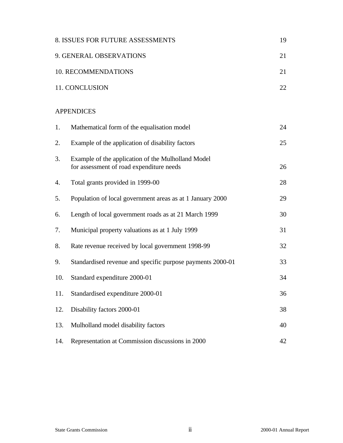|     | 8. ISSUES FOR FUTURE ASSESSMENTS                                                               | 19 |
|-----|------------------------------------------------------------------------------------------------|----|
|     | 9. GENERAL OBSERVATIONS                                                                        | 21 |
|     | 10. RECOMMENDATIONS                                                                            | 21 |
|     | 11. CONCLUSION                                                                                 | 22 |
|     | <b>APPENDICES</b>                                                                              |    |
| 1.  | Mathematical form of the equalisation model                                                    | 24 |
| 2.  | Example of the application of disability factors                                               | 25 |
| 3.  | Example of the application of the Mulholland Model<br>for assessment of road expenditure needs | 26 |
| 4.  | Total grants provided in 1999-00                                                               | 28 |
| 5.  | Population of local government areas as at 1 January 2000                                      | 29 |
| 6.  | Length of local government roads as at 21 March 1999                                           | 30 |
| 7.  | Municipal property valuations as at 1 July 1999                                                | 31 |
| 8.  | Rate revenue received by local government 1998-99                                              | 32 |
| 9.  | Standardised revenue and specific purpose payments 2000-01                                     | 33 |
| 10. | Standard expenditure 2000-01                                                                   | 34 |
| 11. | Standardised expenditure 2000-01                                                               | 36 |
| 12. | Disability factors 2000-01                                                                     | 38 |
| 13. | Mulholland model disability factors                                                            | 40 |
| 14. | Representation at Commission discussions in 2000                                               | 42 |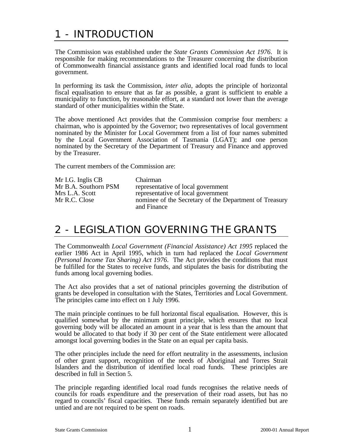# 1 - INTRODUCTION

The Commission was established under the *State Grants Commission Act 1976*. It is responsible for making recommendations to the Treasurer concerning the distribution of Commonwealth financial assistance grants and identified local road funds to local government.

In performing its task the Commission, *inter alia*, adopts the principle of horizontal fiscal equalisation to ensure that as far as possible, a grant is sufficient to enable a municipality to function, by reasonable effort, at a standard not lower than the average standard of other municipalities within the State.

The above mentioned Act provides that the Commission comprise four members: a chairman, who is appointed by the Governor; two representatives of local government nominated by the Minister for Local Government from a list of four names submitted by the Local Government Association of Tasmania (LGAT); and one person nominated by the Secretary of the Department of Treasury and Finance and approved by the Treasurer.

The current members of the Commission are:

| Mr I.G. Inglis CB    | <b>Chairman</b>                                        |
|----------------------|--------------------------------------------------------|
| Mr B.A. Southorn PSM | representative of local government                     |
| Mrs L.A. Scott       | representative of local government                     |
| Mr R.C. Close        | nominee of the Secretary of the Department of Treasury |
|                      | and Finance                                            |

# 2 - LEGISLATION GOVERNING THE GRANTS

The Commonwealth *Local Government (Financial Assistance) Act 1995* replaced the earlier 1986 Act in April 1995, which in turn had replaced the *Local Government (Personal Income Tax Sharing) Act 1976*. The Act provides the conditions that must be fulfilled for the States to receive funds, and stipulates the basis for distributing the funds among local governing bodies.

The Act also provides that a set of national principles governing the distribution of grants be developed in consultation with the States, Territories and Local Government. The principles came into effect on 1 July 1996.

The main principle continues to be full horizontal fiscal equalisation. However, this is qualified somewhat by the minimum grant principle, which ensures that no local governing body will be allocated an amount in a year that is less than the amount that would be allocated to that body if 30 per cent of the State entitlement were allocated amongst local governing bodies in the State on an equal per capita basis.

The other principles include the need for effort neutrality in the assessments, inclusion of other grant support, recognition of the needs of Aboriginal and Torres Strait Islanders and the distribution of identified local road funds. These principles are described in full in Section 5.

The principle regarding identified local road funds recognises the relative needs of councils for roads expenditure and the preservation of their road assets, but has no regard to councils' fiscal capacities. These funds remain separately identified but are untied and are not required to be spent on roads.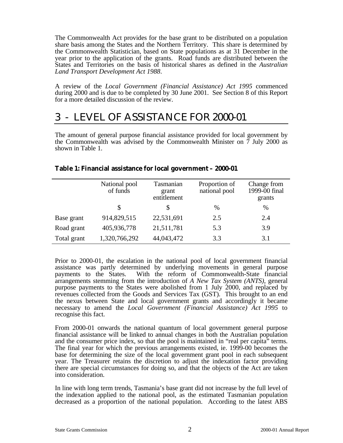The Commonwealth Act provides for the base grant to be distributed on a population share basis among the States and the Northern Territory. This share is determined by the Commonwealth Statistician, based on State populations as at 31 December in the year prior to the application of the grants. Road funds are distributed between the States and Territories on the basis of historical shares as defined in the *Australian Land Transport Development Act 1988*.

A review of the *Local Government (Financial Assistance) Act 1995* commenced during 2000 and is due to be completed by 30 June 2001. See Section 8 of this Report for a more detailed discussion of the review.

# 3 - LEVEL OF ASSISTANCE FOR 2000-01

The amount of general purpose financial assistance provided for local government by the Commonwealth was advised by the Commonwealth Minister on  $\overline{7}$  July 2000 as shown in Table 1.

|             | National pool<br>of funds | Tasmanian<br>grant<br>entitlement | Proportion of<br>national pool | Change from<br>1999-00 final<br>grants |
|-------------|---------------------------|-----------------------------------|--------------------------------|----------------------------------------|
|             | S                         | \$                                | $\%$                           | $\%$                                   |
| Base grant  | 914,829,515               | 22,531,691                        | 2.5                            | 2.4                                    |
| Road grant  | 405,936,778               | 21,511,781                        | 5.3                            | 3.9                                    |
| Total grant | 1,320,766,292             | 44,043,472                        | 3.3                            | 3.1                                    |

#### **Table 1: Financial assistance for local government – 2000-01**

Prior to 2000-01, the escalation in the national pool of local government financial assistance was partly determined by underlying movements in general purpose payments to the States. With the reform of Commonwealth-State financial arrangements stemming from the introduction of *A New Tax System (ANTS)*, general purpose payments to the States were abolished from 1 July 2000, and replaced by revenues collected from the Goods and Services Tax (GST). This brought to an end the nexus between State and local government grants and accordingly it became necessary to amend the *Local Government (Financial Assistance) Act 1995* to recognise this fact.

From 2000-01 onwards the national quantum of local government general purpose financial assistance will be linked to annual changes in both the Australian population and the consumer price index, so that the pool is maintained in "real per capita" terms. The final year for which the previous arrangements existed, ie. 1999-00 becomes the base for determining the size of the local government grant pool in each subsequent year. The Treasurer retains the discretion to adjust the indexation factor providing there are special circumstances for doing so, and that the objects of the Act are taken into consideration.

In line with long term trends, Tasmania's base grant did not increase by the full level of the indexation applied to the national pool, as the estimated Tasmanian population decreased as a proportion of the national population. According to the latest ABS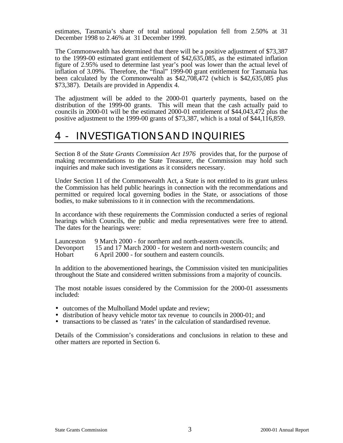estimates, Tasmania's share of total national population fell from 2.50% at 31 December 1998 to 2.46% at 31 December 1999.

The Commonwealth has determined that there will be a positive adjustment of \$73,387 to the 1999-00 estimated grant entitlement of \$42,635,085, as the estimated inflation figure of 2.95% used to determine last year's pool was lower than the actual level of inflation of 3.09%. Therefore, the "final" 1999-00 grant entitlement for Tasmania has been calculated by the Commonwealth as \$42,708,472 (which is \$42,635,085 plus \$73,387). Details are provided in Appendix 4.

The adjustment will be added to the 2000-01 quarterly payments, based on the distribution of the 1999-00 grants. This will mean that the cash actually paid to councils in 2000-01 will be the estimated 2000-01 entitlement of \$44,043,472 plus the positive adjustment to the 1999-00 grants of \$73,387, which is a total of \$44,116,859.

# 4 - INVESTIGATIONS AND INQUIRIES

Section 8 of the *State Grants Commission Act 1976* provides that, for the purpose of making recommendations to the State Treasurer, the Commission may hold such inquiries and make such investigations as it considers necessary.

Under Section 11 of the Commonwealth Act, a State is not entitled to its grant unless the Commission has held public hearings in connection with the recommendations and permitted or required local governing bodies in the State, or associations of those bodies, to make submissions to it in connection with the recommendations.

In accordance with these requirements the Commission conducted a series of regional hearings which Councils, the public and media representatives were free to attend. The dates for the hearings were:

|        | Launceston 9 March 2000 - for northern and north-eastern councils.           |
|--------|------------------------------------------------------------------------------|
|        | Devonport 15 and 17 March 2000 - for western and north-western councils; and |
| Hobart | 6 April 2000 - for southern and eastern councils.                            |

In addition to the abovementioned hearings, the Commission visited ten municipalities throughout the State and considered written submissions from a majority of councils.

The most notable issues considered by the Commission for the 2000-01 assessments included:

- outcomes of the Mulholland Model update and review;
- distribution of heavy vehicle motor tax revenue to councils in 2000-01; and
- transactions to be classed as 'rates' in the calculation of standardised revenue.

Details of the Commission's considerations and conclusions in relation to these and other matters are reported in Section 6.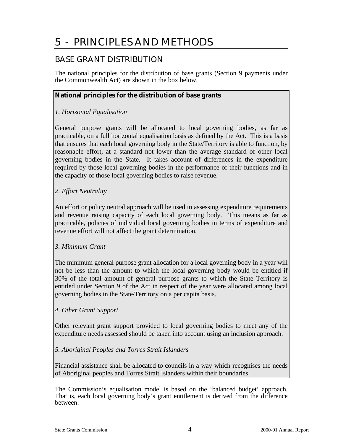# 5 - PRINCIPLES AND METHODS

# BASE GRANT DISTRIBUTION

The national principles for the distribution of base grants (Section 9 payments under the Commonwealth Act) are shown in the box below.

### **National principles for the distribution of base grants**

### *1. Horizontal Equalisation*

General purpose grants will be allocated to local governing bodies, as far as practicable, on a full horizontal equalisation basis as defined by the Act. This is a basis that ensures that each local governing body in the State/Territory is able to function, by reasonable effort, at a standard not lower than the average standard of other local governing bodies in the State. It takes account of differences in the expenditure required by those local governing bodies in the performance of their functions and in the capacity of those local governing bodies to raise revenue.

### *2. Effort Neutrality*

An effort or policy neutral approach will be used in assessing expenditure requirements and revenue raising capacity of each local governing body. This means as far as practicable, policies of individual local governing bodies in terms of expenditure and revenue effort will not affect the grant determination.

#### *3. Minimum Grant*

The minimum general purpose grant allocation for a local governing body in a year will not be less than the amount to which the local governing body would be entitled if 30% of the total amount of general purpose grants to which the State Territory is entitled under Section 9 of the Act in respect of the year were allocated among local governing bodies in the State/Territory on a per capita basis.

#### *4. Other Grant Support*

Other relevant grant support provided to local governing bodies to meet any of the expenditure needs assessed should be taken into account using an inclusion approach.

#### *5. Aboriginal Peoples and Torres Strait Islanders*

Financial assistance shall be allocated to councils in a way which recognises the needs of Aboriginal peoples and Torres Strait Islanders within their boundaries.

The Commission's equalisation model is based on the 'balanced budget' approach. That is, each local governing body's grant entitlement is derived from the difference between: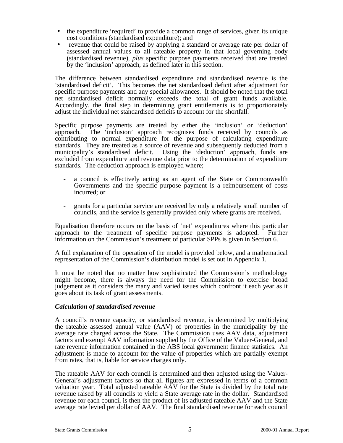- the expenditure 'required' to provide a common range of services, given its unique cost conditions (standardised expenditure); and
- revenue that could be raised by applying a standard or average rate per dollar of assessed annual values to all rateable property in that local governing body (standardised revenue), *plus* specific purpose payments received that are treated by the 'inclusion' approach, as defined later in this section.

The difference between standardised expenditure and standardised revenue is the 'standardised deficit'. This becomes the net standardised deficit after adjustment for specific purpose payments and any special allowances. It should be noted that the total net standardised deficit normally exceeds the total of grant funds available. Accordingly, the final step in determining grant entitlements is to proportionately adjust the individual net standardised deficits to account for the shortfall.

Specific purpose payments are treated by either the 'inclusion' or 'deduction' approach. The 'inclusion' approach recognises funds received by councils as contributing to normal expenditure for the purpose of calculating expenditure standards. They are treated as a source of revenue and subsequently deducted from a municipality's standardised deficit. Using the 'deduction' approach, funds are excluded from expenditure and revenue data prior to the determination of expenditure standards. The deduction approach is employed where;

- a council is effectively acting as an agent of the State or Commonwealth Governments and the specific purpose payment is a reimbursement of costs incurred; or
- grants for a particular service are received by only a relatively small number of councils, and the service is generally provided only where grants are received.

Equalisation therefore occurs on the basis of 'net' expenditures where this particular approach to the treatment of specific purpose payments is adopted. Further information on the Commission's treatment of particular SPPs is given in Section 6.

A full explanation of the operation of the model is provided below, and a mathematical representation of the Commission's distribution model is set out in Appendix 1.

It must be noted that no matter how sophisticated the Commission's methodology might become, there is always the need for the Commission to exercise broad judgement as it considers the many and varied issues which confront it each year as it goes about its task of grant assessments.

#### *Calculation of standardised revenue*

A council's revenue capacity, or standardised revenue, is determined by multiplying the rateable assessed annual value (AAV) of properties in the municipality by the average rate charged across the State. The Commission uses AAV data, adjustment factors and exempt AAV information supplied by the Office of the Valuer-General, and rate revenue information contained in the ABS local government finance statistics. An adjustment is made to account for the value of properties which are partially exempt from rates, that is, liable for service charges only.

The rateable AAV for each council is determined and then adjusted using the Valuer-General's adjustment factors so that all figures are expressed in terms of a common valuation year. Total adjusted rateable AAV for the State is divided by the total rate revenue raised by all councils to yield a State average rate in the dollar. Standardised revenue for each council is then the product of its adjusted rateable AAV and the State average rate levied per dollar of AAV. The final standardised revenue for each council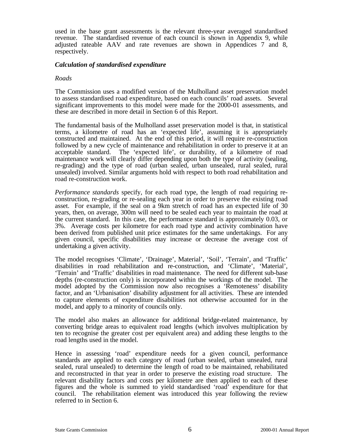used in the base grant assessments is the relevant three-year averaged standardised revenue. The standardised revenue of each council is shown in Appendix 9, while adjusted rateable AAV and rate revenues are shown in Appendices 7 and 8, respectively.

#### *Calculation of standardised expenditure*

#### *Roads*

The Commission uses a modified version of the Mulholland asset preservation model to assess standardised road expenditure, based on each councils' road assets. Several significant improvements to this model were made for the 2000-01 assessments, and these are described in more detail in Section 6 of this Report.

The fundamental basis of the Mulholland asset preservation model is that, in statistical terms, a kilometre of road has an 'expected life', assuming it is appropriately constructed and maintained. At the end of this period, it will require re-construction followed by a new cycle of maintenance and rehabilitation in order to preserve it at an acceptable standard. The 'expected life', or durability, of a kilometre of road maintenance work will clearly differ depending upon both the type of activity (sealing, re-grading) and the type of road (urban sealed, urban unsealed, rural sealed, rural unsealed) involved. Similar arguments hold with respect to both road rehabilitation and road re-construction work.

*Performance standards* specify, for each road type, the length of road requiring reconstruction, re-grading or re-sealing each year in order to preserve the existing road asset. For example, if the seal on a 9km stretch of road has an expected life of 30 years, then, on average, 300m will need to be sealed each year to maintain the road at the current standard. In this case, the performance standard is approximately 0.03, or 3%. Average costs per kilometre for each road type and activity combination have been derived from published unit price estimates for the same undertakings. For any given council, specific disabilities may increase or decrease the average cost of undertaking a given activity.

The model recognises 'Climate', 'Drainage', Material', 'Soil', 'Terrain', and 'Traffic' disabilities in road rehabilitation and re-construction, and 'Climate', 'Material', 'Terrain' and 'Traffic' disabilities in road maintenance. The need for different sub-base depths (re-construction only) is incorporated within the workings of the model. The model adopted by the Commission now also recognises a 'Remoteness' disability factor, and an 'Urbanisation' disability adjustment for all activities. These are intended to capture elements of expenditure disabilities not otherwise accounted for in the model, and apply to a minority of councils only.

The model also makes an allowance for additional bridge-related maintenance, by converting bridge areas to equivalent road lengths (which involves multiplication by ten to recognise the greater cost per equivalent area) and adding these lengths to the road lengths used in the model.

Hence in assessing 'road' expenditure needs for a given council, performance standards are applied to each category of road (urban sealed, urban unsealed, rural sealed, rural unsealed) to determine the length of road to be maintained, rehabilitated and reconstructed in that year in order to preserve the existing road structure. The relevant disability factors and costs per kilometre are then applied to each of these figures and the whole is summed to yield standardised 'road' expenditure for that council. The rehabilitation element was introduced this year following the review referred to in Section 6.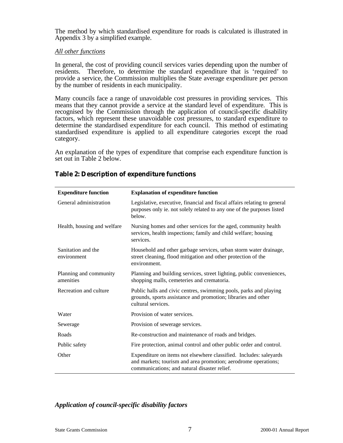The method by which standardised expenditure for roads is calculated is illustrated in Appendix 3 by a simplified example.

#### *All other functions*

In general, the cost of providing council services varies depending upon the number of residents. Therefore, to determine the standard expenditure that is 'required' to provide a service, the Commission multiplies the State average expenditure per person by the number of residents in each municipality.

Many councils face a range of unavoidable cost pressures in providing services. This means that they cannot provide a service at the standard level of expenditure. This is recognised by the Commission through the application of council-specific disability factors, which represent these unavoidable cost pressures, to standard expenditure to determine the standardised expenditure for each council. This method of estimating standardised expenditure is applied to all expenditure categories except the road category.

An explanation of the types of expenditure that comprise each expenditure function is set out in Table 2 below.

| <b>Expenditure function</b>         | <b>Explanation of expenditure function</b>                                                                                                                                           |  |  |
|-------------------------------------|--------------------------------------------------------------------------------------------------------------------------------------------------------------------------------------|--|--|
| General administration              | Legislative, executive, financial and fiscal affairs relating to general<br>purposes only ie. not solely related to any one of the purposes listed<br>below.                         |  |  |
| Health, housing and welfare         | Nursing homes and other services for the aged, community health<br>services, health inspections; family and child welfare; housing<br>services.                                      |  |  |
| Sanitation and the<br>environment   | Household and other garbage services, urban storm water drainage,<br>street cleaning, flood mitigation and other protection of the<br>environment.                                   |  |  |
| Planning and community<br>amenities | Planning and building services, street lighting, public conveniences,<br>shopping malls, cemeteries and crematoria.                                                                  |  |  |
| Recreation and culture              | Public halls and civic centres, swimming pools, parks and playing<br>grounds, sports assistance and promotion; libraries and other<br>cultural services.                             |  |  |
| Water                               | Provision of water services.                                                                                                                                                         |  |  |
| Sewerage                            | Provision of sewerage services.                                                                                                                                                      |  |  |
| Roads                               | Re-construction and maintenance of roads and bridges.                                                                                                                                |  |  |
| Public safety                       | Fire protection, animal control and other public order and control.                                                                                                                  |  |  |
| Other                               | Expenditure on items not elsewhere classified. Includes: saleyards<br>and markets; tourism and area promotion; aerodrome operations;<br>communications; and natural disaster relief. |  |  |

#### **Table 2: Description of expenditure functions**

#### *Application of council-specific disability factors*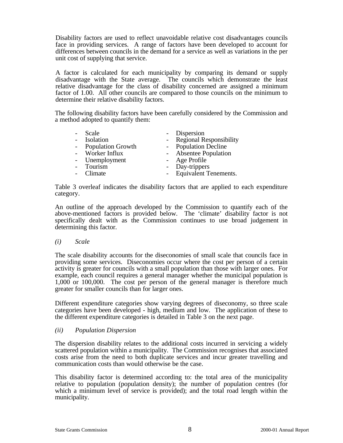Disability factors are used to reflect unavoidable relative cost disadvantages councils face in providing services. A range of factors have been developed to account for differences between councils in the demand for a service as well as variations in the per unit cost of supplying that service.

A factor is calculated for each municipality by comparing its demand or supply disadvantage with the State average. The councils which demonstrate the least relative disadvantage for the class of disability concerned are assigned a minimum factor of 1.00. All other councils are compared to those councils on the minimum to determine their relative disability factors.

The following disability factors have been carefully considered by the Commission and a method adopted to quantify them:

| Scale               | - Dispersion              |
|---------------------|---------------------------|
| Isolation           | - Regional Responsibility |
| - Population Growth | - Population Decline      |
| - Worker Influx     | - Absentee Population     |
| - Unemployment      | - Age Profile             |
| Tourism             | - Day-trippers            |
| Climate             | - Equivalent Tenements.   |
|                     |                           |

Table 3 overleaf indicates the disability factors that are applied to each expenditure category.

An outline of the approach developed by the Commission to quantify each of the above-mentioned factors is provided below. The 'climate' disability factor is not specifically dealt with as the Commission continues to use broad judgement in determining this factor.

*(i) Scale*

The scale disability accounts for the diseconomies of small scale that councils face in providing some services. Diseconomies occur where the cost per person of a certain activity is greater for councils with a small population than those with larger ones. For example, each council requires a general manager whether the municipal population is 1,000 or 100,000. The cost per person of the general manager is therefore much greater for smaller councils than for larger ones.

Different expenditure categories show varying degrees of diseconomy, so three scale categories have been developed - high, medium and low. The application of these to the different expenditure categories is detailed in Table 3 on the next page.

#### *(ii) Population Dispersion*

The dispersion disability relates to the additional costs incurred in servicing a widely scattered population within a municipality. The Commission recognises that associated costs arise from the need to both duplicate services and incur greater travelling and communication costs than would otherwise be the case.

This disability factor is determined according to: the total area of the municipality relative to population (population density); the number of population centres (for which a minimum level of service is provided); and the total road length within the municipality.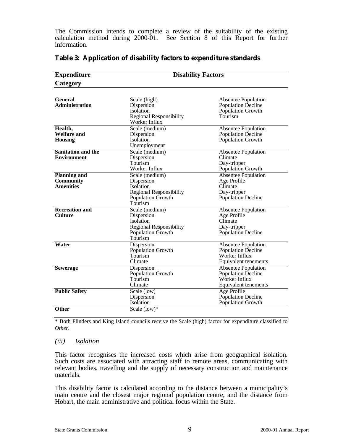The Commission intends to complete a review of the suitability of the existing calculation method during 2000-01. See Section 8 of this Report for further information.

| <b>Expenditure</b>                                                                                                                                     | <b>Disability Factors</b>                                                                                                                          |                                                                                                  |  |
|--------------------------------------------------------------------------------------------------------------------------------------------------------|----------------------------------------------------------------------------------------------------------------------------------------------------|--------------------------------------------------------------------------------------------------|--|
| Category                                                                                                                                               |                                                                                                                                                    |                                                                                                  |  |
| <b>General</b><br><b>Administration</b>                                                                                                                | Scale (high)<br>Dispersion<br><b>Isolation</b><br><b>Regional Responsibility</b><br>Worker Influx                                                  | <b>Absentee Population</b><br>Population Decline<br>Population Growth<br>Tourism                 |  |
| Health,<br><b>Welfare and</b><br>Housing                                                                                                               | Scale (medium)<br>Dispersion<br>Isolation<br>Unemployment                                                                                          | <b>Absentee Population</b><br><b>Population Decline</b><br>Population Growth                     |  |
| <b>Sanitation and the</b><br><b>Environment</b>                                                                                                        | Scale (medium)<br><b>Absentee Population</b><br>Climate<br>Dispersion<br>Tourism<br>Day-tripper<br>Worker Influx<br>Population Growth              |                                                                                                  |  |
| <b>Planning and</b><br><b>Community</b><br><b>Amenities</b>                                                                                            | Scale (medium)<br>Dispersion<br>Isolation<br><b>Regional Responsibility</b><br>Population Growth<br>Tourism                                        | <b>Absentee Population</b><br>Age Profile<br>Climate<br>Day-tripper<br><b>Population Decline</b> |  |
| <b>Recreation and</b><br>Scale (medium)<br><b>Culture</b><br>Dispersion<br>Isolation<br><b>Regional Responsibility</b><br>Population Growth<br>Tourism |                                                                                                                                                    | <b>Absentee Population</b><br>Age Profile<br>Climate<br>Day-tripper<br><b>Population Decline</b> |  |
| Water                                                                                                                                                  | Dispersion<br>Population Growth<br>Tourism<br>Climate                                                                                              | <b>Absentee Population</b><br><b>Population Decline</b><br>Worker Influx<br>Equivalent tenements |  |
| <b>Sewerage</b>                                                                                                                                        | <b>Absentee Population</b><br>Dispersion<br>Population Growth<br>Population Decline<br>Tourism<br>Worker Influx<br>Climate<br>Equivalent tenements |                                                                                                  |  |
| <b>Public Safety</b>                                                                                                                                   | Age Profile<br>Scale (low)<br>Population Decline<br>Dispersion<br>Population Growth<br>Isolation                                                   |                                                                                                  |  |
| Other                                                                                                                                                  | Scale $(low)*$                                                                                                                                     |                                                                                                  |  |

#### **Table 3: Application of disability factors to expenditure standards**

\* Both Flinders and King Island councils receive the Scale (high) factor for expenditure classified to *Other*.

#### *(iii) Isolation*

This factor recognises the increased costs which arise from geographical isolation. Such costs are associated with attracting staff to remote areas, communicating with relevant bodies, travelling and the supply of necessary construction and maintenance materials.

This disability factor is calculated according to the distance between a municipality's main centre and the closest major regional population centre, and the distance from Hobart, the main administrative and political focus within the State.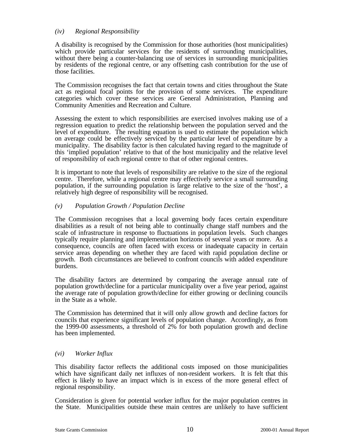#### *(iv) Regional Responsibility*

A disability is recognised by the Commission for those authorities (host municipalities) which provide particular services for the residents of surrounding municipalities, without there being a counter-balancing use of services in surrounding municipalities by residents of the regional centre, or any offsetting cash contribution for the use of those facilities.

The Commission recognises the fact that certain towns and cities throughout the State act as regional focal points for the provision of some services. The expenditure categories which cover these services are General Administration, Planning and Community Amenities and Recreation and Culture.

Assessing the extent to which responsibilities are exercised involves making use of a regression equation to predict the relationship between the population served and the level of expenditure. The resulting equation is used to estimate the population which on average could be effectively serviced by the particular level of expenditure by a municipality. The disability factor is then calculated having regard to the magnitude of this 'implied population' relative to that of the host municipality and the relative level of responsibility of each regional centre to that of other regional centres.

It is important to note that levels of responsibility are relative to the size of the regional centre. Therefore, while a regional centre may effectively service a small surrounding population, if the surrounding population is large relative to the size of the 'host', a relatively high degree of responsibility will be recognised.

#### *(v) Population Growth / Population Decline*

The Commission recognises that a local governing body faces certain expenditure disabilities as a result of not being able to continually change staff numbers and the scale of infrastructure in response to fluctuations in population levels. Such changes typically require planning and implementation horizons of several years or more. As a consequence, councils are often faced with excess or inadequate capacity in certain service areas depending on whether they are faced with rapid population decline or growth. Both circumstances are believed to confront councils with added expenditure burdens.

The disability factors are determined by comparing the average annual rate of population growth/decline for a particular municipality over a five year period, against the average rate of population growth/decline for either growing or declining councils in the State as a whole.

The Commission has determined that it will only allow growth and decline factors for councils that experience significant levels of population change. Accordingly, as from the 1999-00 assessments, a threshold of 2% for both population growth and decline has been implemented.

#### *(vi) Worker Influx*

This disability factor reflects the additional costs imposed on those municipalities which have significant daily net influxes of non-resident workers. It is felt that this effect is likely to have an impact which is in excess of the more general effect of regional responsibility.

Consideration is given for potential worker influx for the major population centres in the State. Municipalities outside these main centres are unlikely to have sufficient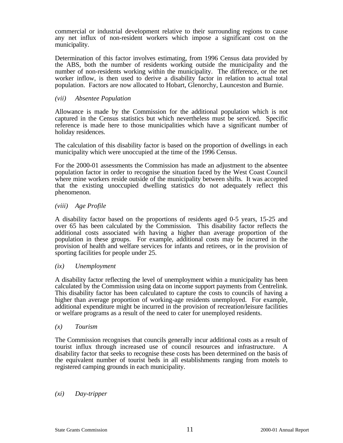commercial or industrial development relative to their surrounding regions to cause any net influx of non-resident workers which impose a significant cost on the municipality.

Determination of this factor involves estimating, from 1996 Census data provided by the ABS, both the number of residents working outside the municipality and the number of non-residents working within the municipality. The difference, or the net worker inflow, is then used to derive a disability factor in relation to actual total population. Factors are now allocated to Hobart, Glenorchy, Launceston and Burnie.

#### *(vii) Absentee Population*

Allowance is made by the Commission for the additional population which is not captured in the Census statistics but which nevertheless must be serviced. Specific reference is made here to those municipalities which have a significant number of holiday residences.

The calculation of this disability factor is based on the proportion of dwellings in each municipality which were unoccupied at the time of the 1996 Census.

For the 2000-01 assessments the Commission has made an adjustment to the absentee population factor in order to recognise the situation faced by the West Coast Council where mine workers reside outside of the municipality between shifts. It was accepted that the existing unoccupied dwelling statistics do not adequately reflect this phenomenon.

#### *(viii) Age Profile*

A disability factor based on the proportions of residents aged 0-5 years, 15-25 and over 65 has been calculated by the Commission. This disability factor reflects the additional costs associated with having a higher than average proportion of the population in these groups. For example, additional costs may be incurred in the provision of health and welfare services for infants and retirees, or in the provision of sporting facilities for people under 25.

#### *(ix) Unemployment*

A disability factor reflecting the level of unemployment within a municipality has been calculated by the Commission using data on income support payments from Centrelink. This disability factor has been calculated to capture the costs to councils of having a higher than average proportion of working-age residents unemployed. For example, additional expenditure might be incurred in the provision of recreation/leisure facilities or welfare programs as a result of the need to cater for unemployed residents.

#### *(x) Tourism*

The Commission recognises that councils generally incur additional costs as a result of tourist influx through increased use of council resources and infrastructure. A disability factor that seeks to recognise these costs has been determined on the basis of the equivalent number of tourist beds in all establishments ranging from motels to registered camping grounds in each municipality.

#### *(xi) Day-tripper*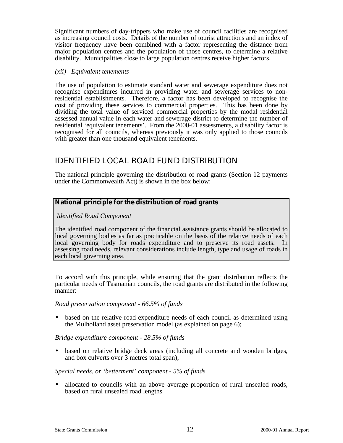Significant numbers of day-trippers who make use of council facilities are recognised as increasing council costs. Details of the number of tourist attractions and an index of visitor frequency have been combined with a factor representing the distance from major population centres and the population of those centres, to determine a relative disability. Municipalities close to large population centres receive higher factors.

#### *(xii) Equivalent tenements*

The use of population to estimate standard water and sewerage expenditure does not recognise expenditures incurred in providing water and sewerage services to nonresidential establishments. Therefore, a factor has been developed to recognise the cost of providing these services to commercial properties. This has been done by dividing the total value of serviced commercial properties by the modal residential assessed annual value in each water and sewerage district to determine the number of residential 'equivalent tenements'. From the 2000-01 assessments, a disability factor is recognised for all councils, whereas previously it was only applied to those councils with greater than one thousand equivalent tenements.

# IDENTIFIED LOCAL ROAD FUND DISTRIBUTION

The national principle governing the distribution of road grants (Section 12 payments under the Commonwealth Act) is shown in the box below:

#### **National principle for the distribution of road grants**

#### *Identified Road Component*

The identified road component of the financial assistance grants should be allocated to local governing bodies as far as practicable on the basis of the relative needs of each local governing body for roads expenditure and to preserve its road assets. In assessing road needs, relevant considerations include length, type and usage of roads in each local governing area.

To accord with this principle, while ensuring that the grant distribution reflects the particular needs of Tasmanian councils, the road grants are distributed in the following manner:

#### *Road preservation component - 66.5% of funds*

• based on the relative road expenditure needs of each council as determined using the Mulholland asset preservation model (as explained on page 6);

#### *Bridge expenditure component - 28.5% of funds*

• based on relative bridge deck areas (including all concrete and wooden bridges, and box culverts over  $\overline{3}$  metres total span);

#### *Special needs, or 'betterment' component - 5% of funds*

• allocated to councils with an above average proportion of rural unsealed roads, based on rural unsealed road lengths.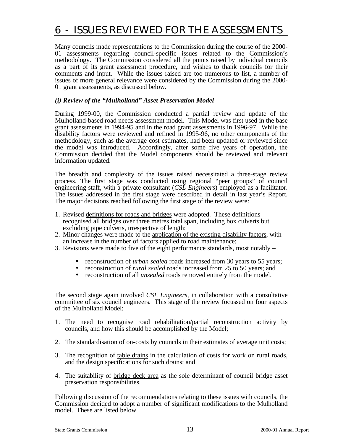# 6 - ISSUES REVIEWED FOR THE ASSESSMENTS

Many councils made representations to the Commission during the course of the 2000- 01 assessments regarding council-specific issues related to the Commission's methodology. The Commission considered all the points raised by individual councils as a part of its grant assessment procedure, and wishes to thank councils for their comments and input. While the issues raised are too numerous to list, a number of issues of more general relevance were considered by the Commission during the 2000- 01 grant assessments, as discussed below.

#### *(i) Review of the "Mulholland" Asset Preservation Model*

During 1999-00, the Commission conducted a partial review and update of the Mulholland-based road needs assessment model. This Model was first used in the base grant assessments in 1994-95 and in the road grant assessments in 1996-97. While the disability factors were reviewed and refined in 1995-96, no other components of the methodology, such as the average cost estimates, had been updated or reviewed since the model was introduced. Accordingly, after some five years of operation, the Commission decided that the Model components should be reviewed and relevant information updated.

The breadth and complexity of the issues raised necessitated a three-stage review process. The first stage was conducted using regional "peer groups" of council engineering staff, with a private consultant (*CSL Engineers*) employed as a facilitator. The issues addressed in the first stage were described in detail in last year's Report. The major decisions reached following the first stage of the review were:

- 1. Revised definitions for roads and bridges were adopted. These definitions recognised all bridges over three metres total span, including box culverts but excluding pipe culverts, irrespective of length;
- 2. Minor changes were made to the application of the existing disability factors, with an increase in the number of factors applied to road maintenance;
- 3. Revisions were made to five of the eight performance standards, most notably
	- reconstruction of *urban sealed* roads increased from 30 years to 55 years;<br>• reconstruction of *rural sealed* roads increased from 25 to 50 years: and
	- reconstruction of *rural sealed* roads increased from 25 to 50 years; and
	- reconstruction of all *unsealed* roads removed entirely from the model.

The second stage again involved *CSL Engineers*, in collaboration with a consultative committee of six council engineers. This stage of the review focussed on four aspects of the Mulholland Model:

- 1. The need to recognise road rehabilitation/partial reconstruction activity by councils, and how this should be accomplished by the Model;
- 2. The standardisation of on-costs by councils in their estimates of average unit costs;
- 3. The recognition of table drains in the calculation of costs for work on rural roads, and the design specifications for such drains; and
- 4. The suitability of bridge deck area as the sole determinant of council bridge asset preservation responsibilities.

Following discussion of the recommendations relating to these issues with councils, the Commission decided to adopt a number of significant modifications to the Mulholland model. These are listed below.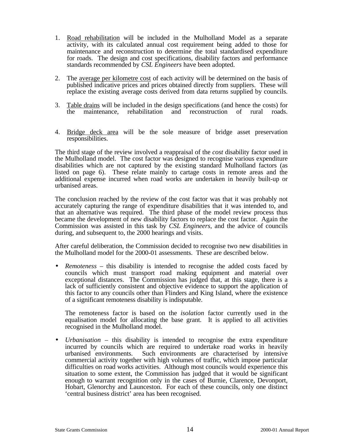- 1. Road rehabilitation will be included in the Mulholland Model as a separate activity, with its calculated annual cost requirement being added to those for maintenance and reconstruction to determine the total standardised expenditure for roads. The design and cost specifications, disability factors and performance standards recommended by *CSL Engineers* have been adopted.
- 2. The average per kilometre cost of each activity will be determined on the basis of published indicative prices and prices obtained directly from suppliers. These will replace the existing average costs derived from data returns supplied by councils.
- 3. Table drains will be included in the design specifications (and hence the costs) for the maintenance, rehabilitation and reconstruction of rural roads.
- 4. Bridge deck area will be the sole measure of bridge asset preservation responsibilities.

The third stage of the review involved a reappraisal of the *cost* disability factor used in the Mulholland model. The cost factor was designed to recognise various expenditure disabilities which are not captured by the existing standard Mulholland factors (as listed on page 6). These relate mainly to cartage costs in remote areas and the additional expense incurred when road works are undertaken in heavily built-up or urbanised areas.

The conclusion reached by the review of the cost factor was that it was probably not accurately capturing the range of expenditure disabilities that it was intended to, and that an alternative was required. The third phase of the model review process thus became the development of new disability factors to replace the cost factor. Again the Commission was assisted in this task by *CSL Engineers*, and the advice of councils during, and subsequent to, the 2000 hearings and visits.

After careful deliberation, the Commission decided to recognise two new disabilities in the Mulholland model for the 2000-01 assessments. These are described below.

• *Remoteness* – this disability is intended to recognise the added costs faced by councils which must transport road making equipment and material over exceptional distances. The Commission has judged that, at this stage, there is a lack of sufficiently consistent and objective evidence to support the application of this factor to any councils other than Flinders and King Island, where the existence of a significant remoteness disability is indisputable.

The remoteness factor is based on the *isolation* factor currently used in the equalisation model for allocating the base grant. It is applied to all activities recognised in the Mulholland model.

• *Urbanisation* – this disability is intended to recognise the extra expenditure incurred by councils which are required to undertake road works in heavily urbanised environments. Such environments are characterised by intensive commercial activity together with high volumes of traffic, which impose particular difficulties on road works activities. Although most councils would experience this situation to some extent, the Commission has judged that it would be significant enough to warrant recognition only in the cases of Burnie, Clarence, Devonport, Hobart, Glenorchy and Launceston. For each of these councils, only one distinct 'central business district' area has been recognised.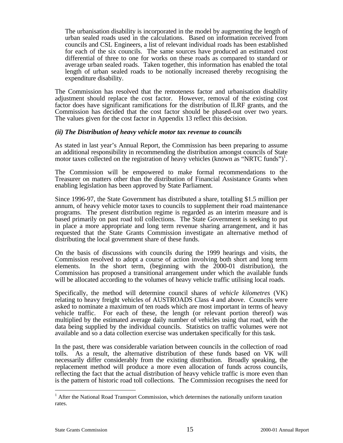The urbanisation disability is incorporated in the model by augmenting the length of urban sealed roads used in the calculations. Based on information received from councils and CSL Engineers, a list of relevant individual roads has been established for each of the six councils. The same sources have produced an estimated cost differential of three to one for works on these roads as compared to standard or average urban sealed roads. Taken together, this information has enabled the total length of urban sealed roads to be notionally increased thereby recognising the expenditure disability.

The Commission has resolved that the remoteness factor and urbanisation disability adjustment should replace the cost factor. However, removal of the existing cost factor does have significant ramifications for the distribution of ILRF grants, and the Commission has decided that the cost factor should be phased-out over two years. The values given for the cost factor in Appendix 13 reflect this decision.

#### *(ii) The Distribution of heavy vehicle motor tax revenue to councils*

As stated in last year's Annual Report, the Commission has been preparing to assume an additional responsibility in recommending the distribution amongst councils of State motor taxes collected on the registration of heavy vehicles (known as "NRTC funds")<sup>1</sup>.

The Commission will be empowered to make formal recommendations to the Treasurer on matters other than the distribution of Financial Assistance Grants when enabling legislation has been approved by State Parliament.

Since 1996-97, the State Government has distributed a share, totalling \$1.5 million per annum, of heavy vehicle motor taxes to councils to supplement their road maintenance programs. The present distribution regime is regarded as an interim measure and is based primarily on past road toll collections. The State Government is seeking to put in place a more appropriate and long term revenue sharing arrangement, and it has requested that the State Grants Commission investigate an alternative method of distributing the local government share of these funds.

On the basis of discussions with councils during the 1999 hearings and visits, the Commission resolved to adopt a course of action involving both short and long term elements. In the short term, (beginning with the 2000-01 distribution), the Commission has proposed a transitional arrangement under which the available funds will be allocated according to the volumes of heavy vehicle traffic utilising local roads.

Specifically, the method will determine council shares of *vehicle kilometres* (VK) relating to heavy freight vehicles of AUSTROADS Class 4 and above. Councils were asked to nominate a maximum of ten roads which are most important in terms of heavy vehicle traffic. For each of these, the length (or relevant portion thereof) was multiplied by the estimated average daily number of vehicles using that road, with the data being supplied by the individual councils. Statistics on traffic volumes were not available and so a data collection exercise was undertaken specifically for this task.

In the past, there was considerable variation between councils in the collection of road tolls. As a result, the alternative distribution of these funds based on VK will necessarily differ considerably from the existing distribution. Broadly speaking, the replacement method will produce a more even allocation of funds across councils, reflecting the fact that the actual distribution of heavy vehicle traffic is more even than is the pattern of historic road toll collections. The Commission recognises the need for

1

<sup>&</sup>lt;sup>1</sup> After the National Road Transport Commission, which determines the nationally uniform taxation rates.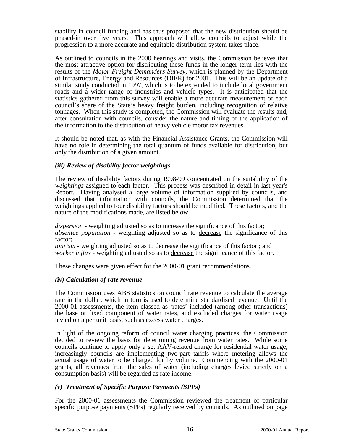stability in council funding and has thus proposed that the new distribution should be phased-in over five years. This approach will allow councils to adjust while the progression to a more accurate and equitable distribution system takes place.

As outlined to councils in the 2000 hearings and visits, the Commission believes that the most attractive option for distributing these funds in the longer term lies with the results of the *Major Freight Demanders Survey,* which is planned by the Department of Infrastructure, Energy and Resources (DIER) for 2001. This will be an update of a similar study conducted in 1997, which is to be expanded to include local government roads and a wider range of industries and vehicle types. It is anticipated that the statistics gathered from this survey will enable a more accurate measurement of each council's share of the State's heavy freight burden, including recognition of relative tonnages. When this study is completed, the Commission will evaluate the results and, after consultation with councils, consider the nature and timing of the application of the information to the distribution of heavy vehicle motor tax revenues.

It should be noted that, as with the Financial Assistance Grants, the Commission will have no role in determining the total quantum of funds available for distribution, but only the distribution of a given amount.

#### *(iii) Review of disability factor weightings*

The review of disability factors during 1998-99 concentrated on the suitability of the *weightings* assigned to each factor. This process was described in detail in last year's Report. Having analysed a large volume of information supplied by councils, and discussed that information with councils, the Commission determined that the weightings applied to four disability factors should be modified. These factors, and the nature of the modifications made, are listed below.

*dispersion -* weighting adjusted so as to increase the significance of this factor; *absentee population -* weighting adjusted so as to decrease the significance of this factor;

*tourism -* weighting adjusted so as to decrease the significance of this factor ; and *worker influx - weighting adjusted so as to decrease the significance of this factor.* 

These changes were given effect for the 2000-01 grant recommendations.

#### *(iv) Calculation of rate revenue*

The Commission uses ABS statistics on council rate revenue to calculate the average rate in the dollar, which in turn is used to determine standardised revenue. Until the 2000-01 assessments, the item classed as 'rates' included (among other transactions) the base or fixed component of water rates, and excluded charges for water usage levied on a per unit basis, such as excess water charges.

In light of the ongoing reform of council water charging practices, the Commission decided to review the basis for determining revenue from water rates. While some councils continue to apply only a set AAV-related charge for residential water usage, increasingly councils are implementing two-part tariffs where metering allows the actual usage of water to be charged for by volume. Commencing with the 2000-01 grants, all revenues from the sales of water (including charges levied strictly on a consumption basis) will be regarded as rate income.

#### *(v) Treatment of Specific Purpose Payments (SPPs)*

For the 2000-01 assessments the Commission reviewed the treatment of particular specific purpose payments (SPPs) regularly received by councils. As outlined on page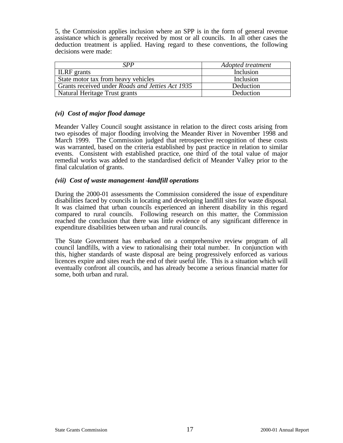5, the Commission applies inclusion where an SPP is in the form of general revenue assistance which is generally received by most or all councils. In all other cases the deduction treatment is applied. Having regard to these conventions, the following decisions were made:

| SPP                                                     | Adopted treatment |  |
|---------------------------------------------------------|-------------------|--|
| <b>ILRF</b> grants                                      | Inclusion         |  |
| State motor tax from heavy vehicles                     | Inclusion         |  |
| Grants received under <i>Roads and Jetties Act 1935</i> | Deduction         |  |
| Natural Heritage Trust grants                           | Deduction         |  |

#### *(vi) Cost of major flood damage*

Meander Valley Council sought assistance in relation to the direct costs arising from two episodes of major flooding involving the Meander River in November 1998 and March 1999. The Commission judged that retrospective recognition of these costs was warranted, based on the criteria established by past practice in relation to similar events. Consistent with established practice, one third of the total value of major remedial works was added to the standardised deficit of Meander Valley prior to the final calculation of grants.

#### *(vii) Cost of waste management – landfill operations*

During the 2000-01 assessments the Commission considered the issue of expenditure disabilities faced by councils in locating and developing landfill sites for waste disposal. It was claimed that urban councils experienced an inherent disability in this regard compared to rural councils. Following research on this matter, the Commission reached the conclusion that there was little evidence of any significant difference in expenditure disabilities between urban and rural councils.

The State Government has embarked on a comprehensive review program of all council landfills, with a view to rationalising their total number. In conjunction with this, higher standards of waste disposal are being progressively enforced as various licences expire and sites reach the end of their useful life. This is a situation which will eventually confront all councils, and has already become a serious financial matter for some, both urban and rural.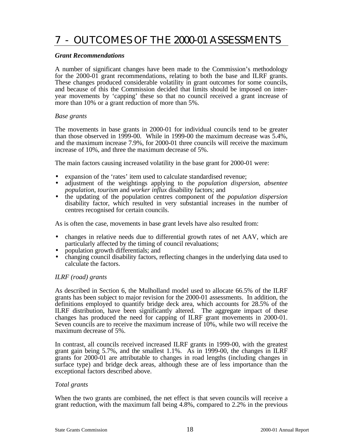# 7 - OUTCOMES OF THE 2000-01 ASSESSMENTS

#### *Grant Recommendations*

A number of significant changes have been made to the Commission's methodology for the 2000-01 grant recommendations, relating to both the base and ILRF grants. These changes produced considerable volatility in grant outcomes for some councils, and because of this the Commission decided that limits should be imposed on interyear movements by 'capping' these so that no council received a grant increase of more than 10% or a grant reduction of more than 5%.

#### *Base grants*

The movements in base grants in 2000-01 for individual councils tend to be greater than those observed in 1999-00. While in 1999-00 the maximum decrease was 5.4%, and the maximum increase 7.9%, for 2000-01 three councils will receive the maximum increase of 10%, and three the maximum decrease of 5%.

The main factors causing increased volatility in the base grant for 2000-01 were:

- expansion of the 'rates' item used to calculate standardised revenue;
- adjustment of the weightings applying to the *population dispersion*, *absentee population*, *tourism* and *worker influx* disability factors; and
- the updating of the population centres component of the *population dispersion* disability factor, which resulted in very substantial increases in the number of centres recognised for certain councils.

As is often the case, movements in base grant levels have also resulted from:

- changes in relative needs due to differential growth rates of net AAV, which are particularly affected by the timing of council revaluations;
- population growth differentials; and
- changing council disability factors, reflecting changes in the underlying data used to calculate the factors.

#### *ILRF (road) grants*

As described in Section 6, the Mulholland model used to allocate 66.5% of the ILRF grants has been subject to major revision for the 2000-01 assessments. In addition, the definitions employed to quantify bridge deck area, which accounts for 28.5% of the ILRF distribution, have been significantly altered. The aggregate impact of these changes has produced the need for capping of ILRF grant movements in 2000-01. Seven councils are to receive the maximum increase of 10%, while two will receive the maximum decrease of 5%.

In contrast, all councils received increased ILRF grants in 1999-00, with the greatest grant gain being 5.7%, and the smallest 1.1%. As in 1999-00, the changes in ILRF grants for 2000-01 are attributable to changes in road lengths (including changes in surface type) and bridge deck areas, although these are of less importance than the exceptional factors described above.

#### *Total grants*

When the two grants are combined, the net effect is that seven councils will receive a grant reduction, with the maximum fall being 4.8%, compared to 2.2% in the previous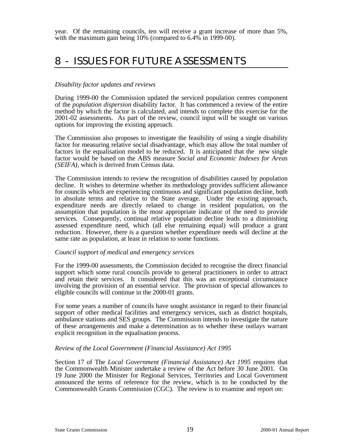year. Of the remaining councils, ten will receive a grant increase of more than 5%, with the maximum gain being 10% (compared to 6.4% in 1999-00).

# 8 - ISSUES FOR FUTURE ASSESSMENTS

#### *Disability factor updates and reviews*

During 1999-00 the Commission updated the serviced population centres component of the *population dispersion* disability factor. It has commenced a review of the entire method by which the factor is calculated, and intends to complete this exercise for the 2001-02 assessments. As part of the review, council input will be sought on various options for improving the existing approach.

The Commission also proposes to investigate the feasibility of using a single disability factor for measuring relative social disadvantage, which may allow the total number of factors in the equalisation model to be reduced. It is anticipated that the new single factor would be based on the ABS measure *Social and Economic Indexes for Areas (SEIFA)*, which is derived from Census data.

The Commission intends to review the recognition of disabilities caused by population decline. It wishes to determine whether its methodology provides sufficient allowance for councils which are experiencing continuous and significant population decline, both in absolute terms and relative to the State average. Under the existing approach, expenditure needs are directly related to change in resident population, on the assumption that population is the most appropriate indicator of the need to provide services. Consequently, continual relative population decline leads to a diminishing assessed expenditure need, which (all else remaining equal) will produce a grant reduction. However, there is a question whether expenditure needs will decline at the same rate as population, at least in relation to some functions.

#### *Council support of medical and emergency services*

For the 1999-00 assessments, the Commission decided to recognise the direct financial support which some rural councils provide to general practitioners in order to attract and retain their services. It considered that this was an exceptional circumstance involving the provision of an essential service. The provision of special allowances to eligible councils will continue in the 2000-01 grants.

For some years a number of councils have sought assistance in regard to their financial support of other medical facilities and emergency services, such as district hospitals, ambulance stations and SES groups. The Commission intends to investigate the nature of these arrangements and make a determination as to whether these outlays warrant explicit recognition in the equalisation process.

#### *Review of the Local Government (Financial Assistance) Act 1995*

Section 17 of The *Local Government (Financial Assistance) Act 1995* requires that the Commonwealth Minister undertake a review of the Act before 30 June 2001. On 19 June 2000 the Minister for Regional Services, Territories and Local Government announced the terms of reference for the review, which is to be conducted by the Commonwealth Grants Commission (CGC). The review is to examine and report on: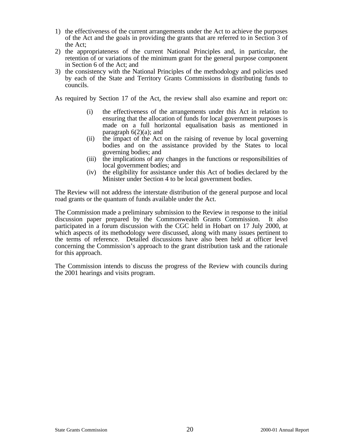- 1) the effectiveness of the current arrangements under the Act to achieve the purposes of the Act and the goals in providing the grants that are referred to in Section 3 of the Act;
- 2) the appropriateness of the current National Principles and, in particular, the retention of or variations of the minimum grant for the general purpose component in Section 6 of the Act; and
- 3) the consistency with the National Principles of the methodology and policies used by each of the State and Territory Grants Commissions in distributing funds to councils.

As required by Section 17 of the Act, the review shall also examine and report on:

- (i) the effectiveness of the arrangements under this Act in relation to ensuring that the allocation of funds for local government purposes is made on a full horizontal equalisation basis as mentioned in paragraph  $6(2)(a)$ ; and
- (ii) the impact of the Act on the raising of revenue by local governing bodies and on the assistance provided by the States to local governing bodies; and
- (iii) the implications of any changes in the functions or responsibilities of local government bodies; and
- (iv) the eligibility for assistance under this Act of bodies declared by the Minister under Section 4 to be local government bodies.

The Review will not address the interstate distribution of the general purpose and local road grants or the quantum of funds available under the Act.

The Commission made a preliminary submission to the Review in response to the initial discussion paper prepared by the Commonwealth Grants Commission. It also participated in a forum discussion with the CGC held in Hobart on 17 July 2000, at which aspects of its methodology were discussed, along with many issues pertinent to the terms of reference. Detailed discussions have also been held at officer level concerning the Commission's approach to the grant distribution task and the rationale for this approach.

The Commission intends to discuss the progress of the Review with councils during the 2001 hearings and visits program.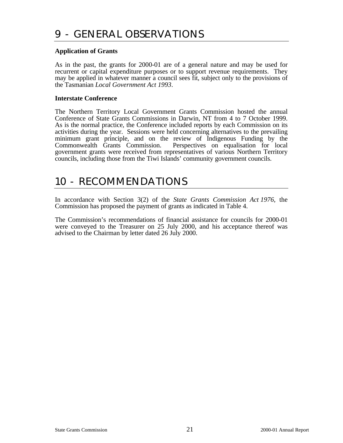#### **Application of Grants**

As in the past, the grants for 2000-01 are of a general nature and may be used for recurrent or capital expenditure purposes or to support revenue requirements. They may be applied in whatever manner a council sees fit, subject only to the provisions of the Tasmanian *Local Government Act 1993*.

#### **Interstate Conference**

The Northern Territory Local Government Grants Commission hosted the annual Conference of State Grants Commissions in Darwin, NT from 4 to 7 October 1999. As is the normal practice, the Conference included reports by each Commission on its activities during the year. Sessions were held concerning alternatives to the prevailing minimum grant principle, and on the review of Indigenous Funding by the Commonwealth Grants Commission. Perspectives on equalisation for local government grants were received from representatives of various Northern Territory councils, including those from the Tiwi Islands' community government councils.

# 10 - RECOMMENDATIONS

In accordance with Section 3(2) of the *State Grants Commission Act 1976*, the Commission has proposed the payment of grants as indicated in Table 4.

The Commission's recommendations of financial assistance for councils for 2000-01 were conveyed to the Treasurer on 25 July 2000, and his acceptance thereof was advised to the Chairman by letter dated 26 July 2000.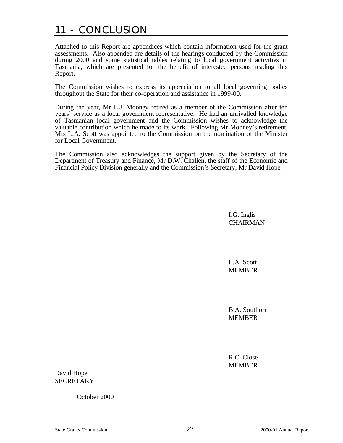# 11 - CONCLUSION

Attached to this Report are appendices which contain information used for the grant assessments. Also appended are details of the hearings conducted by the Commission during 2000 and some statistical tables relating to local government activities in Tasmania, which are presented for the benefit of interested persons reading this Report.

The Commission wishes to express its appreciation to all local governing bodies throughout the State for their co-operation and assistance in 1999-00.

During the year, Mr L.J. Mooney retired as a member of the Commission after ten years' service as a local government representative. He had an unrivalled knowledge of Tasmanian local government and the Commission wishes to acknowledge the valuable contribution which he made to its work. Following Mr Mooney's retirement, Mrs L.A. Scott was appointed to the Commission on the nomination of the Minister for Local Government.

The Commission also acknowledges the support given by the Secretary of the Department of Treasury and Finance, Mr D.W. Challen, the staff of the Economic and Financial Policy Division generally and the Commission's Secretary, Mr David Hope.

> I.G. Inglis **CHAIRMAN**

L.A. Scott MEMBER

B.A. Southorn MEMBER

R.C. Close MEMBER

David Hope SECRETARY

October 2000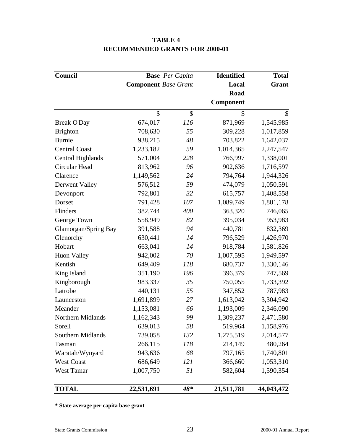| Council                  |                             | <b>Base</b> Per Capita | <b>Identified</b> | <b>Total</b> |
|--------------------------|-----------------------------|------------------------|-------------------|--------------|
|                          | <b>Component</b> Base Grant |                        | Local             | <b>Grant</b> |
|                          |                             |                        | Road              |              |
|                          |                             |                        | Component         |              |
|                          | \$                          | \$                     | $\mathcal{S}$     | \$           |
| <b>Break O'Day</b>       | 674,017                     | 116                    | 871,969           | 1,545,985    |
| <b>Brighton</b>          | 708,630                     | 55                     | 309,228           | 1,017,859    |
| <b>Burnie</b>            | 938,215                     | 48                     | 703,822           | 1,642,037    |
| <b>Central Coast</b>     | 1,233,182                   | 59                     | 1,014,365         | 2,247,547    |
| <b>Central Highlands</b> | 571,004                     | 228                    | 766,997           | 1,338,001    |
| Circular Head            | 813,962                     | 96                     | 902,636           | 1,716,597    |
| Clarence                 | 1,149,562                   | 24                     | 794,764           | 1,944,326    |
| Derwent Valley           | 576,512                     | 59                     | 474,079           | 1,050,591    |
| Devonport                | 792,801                     | 32                     | 615,757           | 1,408,558    |
| Dorset                   | 791,428                     | 107                    | 1,089,749         | 1,881,178    |
| Flinders                 | 382,744                     | 400                    | 363,320           | 746,065      |
| George Town              | 558,949                     | 82                     | 395,034           | 953,983      |
| Glamorgan/Spring Bay     | 391,588                     | 94                     | 440,781           | 832,369      |
| Glenorchy                | 630,441                     | 14                     | 796,529           | 1,426,970    |
| Hobart                   | 663,041                     | 14                     | 918,784           | 1,581,826    |
| <b>Huon Valley</b>       | 942,002                     | 70                     | 1,007,595         | 1,949,597    |
| Kentish                  | 649,409                     | 118                    | 680,737           | 1,330,146    |
| King Island              | 351,190                     | 196                    | 396,379           | 747,569      |
| Kingborough              | 983,337                     | 35                     | 750,055           | 1,733,392    |
| Latrobe                  | 440,131                     | 55                     | 347,852           | 787,983      |
| Launceston               | 1,691,899                   | 27                     | 1,613,042         | 3,304,942    |
| Meander                  | 1,153,081                   | 66                     | 1,193,009         | 2,346,090    |
| Northern Midlands        | 1,162,343                   | 99                     | 1,309,237         | 2,471,580    |
| Sorell                   | 639,013                     | 58                     | 519,964           | 1,158,976    |
| <b>Southern Midlands</b> | 739,058                     | 132                    | 1,275,519         | 2,014,577    |
| Tasman                   | 266,115                     | 118                    | 214,149           | 480,264      |
| Waratah/Wynyard          | 943,636                     | 68                     | 797,165           | 1,740,801    |
| <b>West Coast</b>        | 686,649                     | <i>121</i>             | 366,660           | 1,053,310    |
| <b>West Tamar</b>        | 1,007,750                   | 51                     | 582,604           | 1,590,354    |
| <b>TOTAL</b>             | 22,531,691                  | $48*$                  | 21,511,781        | 44,043,472   |

# **TABLE 4 RECOMMENDED GRANTS FOR 2000-01**

**\* State average per capita base grant**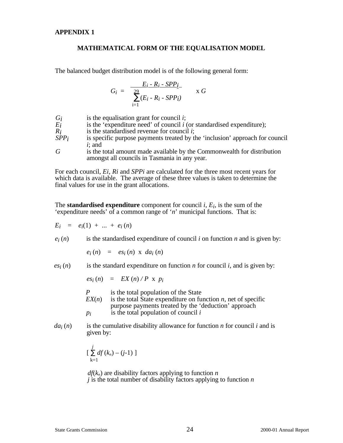#### **MATHEMATICAL FORM OF THE EQUALISATION MODEL**

The balanced budget distribution model is of the following general form:

$$
G_i = \frac{E_i - R_i - SPP_i}{\sum_{i=1}^{20} (E_i - R_i - SPP_i)} \times G
$$

- *Gi* is the equalisation grant for council *i*;
- *Ei* is the 'expenditure need' of council *i* (or standardised expenditure);
- *Ri* is the standardised revenue for council *i*;
- *SPPi* is specific purpose payments treated by the 'inclusion' approach for council *i*; and
- *G* is the total amount made available by the Commonwealth for distribution amongst all councils in Tasmania in any year.

For each council, *Ei, Ri* and *SPPi* are calculated for the three most recent years for which data is available. The average of these three values is taken to determine the final values for use in the grant allocations.

The **standardised expenditure** component for council  $i$ ,  $E_i$ , is the sum of the 'expenditure needs' of a common range of '*n*' municipal functions. That is:

$$
E_i = e_i(1) + ... + e_i(n)
$$

 $e_i(n)$  is the standardised expenditure of council *i* on function *n* and is given by:

$$
e_i(n) = es_i(n) \times da_i(n)
$$

 $e^{i(n)}$  is the standard expenditure on function *n* for council *i*, and is given by:

$$
es_i(n) = EX(n)/P \times p_i
$$

- *P* is the total population of the State  $EX(n)$  is the total State expenditure on fu
- is the total State expenditure on function  $n$ , net of specific purpose payments treated by the 'deduction' approach *pi* is the total population of council *i*
- 
- $da_i(n)$  is the cumulative disability allowance for function *n* for council *i* and is given by:

$$
\left[\sum_{k=1}^j df(k_n) - (j-1)\right]
$$

 $df(k_n)$  are disability factors applying to function *n j* is the total number of disability factors applying to function *n*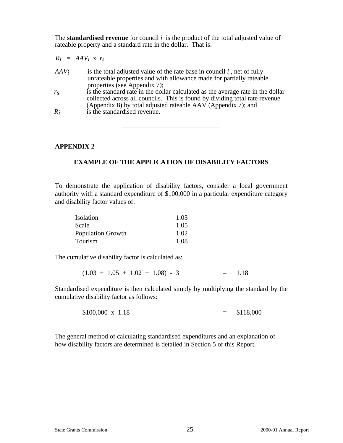The **standardised revenue** for council *i* is the product of the total adjusted value of rateable property and a standard rate in the dollar. That is:

| $R_i$   | = $AAV_i$ x $r_s$                                                                                                                                                                                                                                                                                                                                                                                                                                     |
|---------|-------------------------------------------------------------------------------------------------------------------------------------------------------------------------------------------------------------------------------------------------------------------------------------------------------------------------------------------------------------------------------------------------------------------------------------------------------|
| $AAV_i$ | is the total adjusted value of the rate base in council $i$ , net of fully<br>unrateable properties and with allowance made for partially rateable<br>properties (see Appendix 7);<br>is the standard rate in the dollar calculated as the average rate in the dollar<br>collected across all councils. This is found by dividing total rate revenue<br>(Appendix 8) by total adjusted rateable AAV (Appendix 7); and<br>is the standardized revenue. |

#### **APPENDIX 2**

#### **EXAMPLE OF THE APPLICATION OF DISABILITY FACTORS**

\_\_\_\_\_\_\_\_\_\_\_\_\_\_\_\_\_\_\_\_\_\_\_\_\_\_\_\_\_

To demonstrate the application of disability factors, consider a local government authority with a standard expenditure of \$100,000 in a particular expenditure category and disability factor values of:

| Isolation                | 1.03 |
|--------------------------|------|
| Scale                    | 1.05 |
| <b>Population Growth</b> | 1.02 |
| Tourism                  | 1.08 |

The cumulative disability factor is calculated as:

 $(1.03 + 1.05 + 1.02 + 1.08) - 3 = 1.18$ 

Standardised expenditure is then calculated simply by multiplying the standard by the cumulative disability factor as follows:

 $$100,000 \times 1.18 = $118,000$ 

The general method of calculating standardised expenditures and an explanation of how disability factors are determined is detailed in Section 5 of this Report.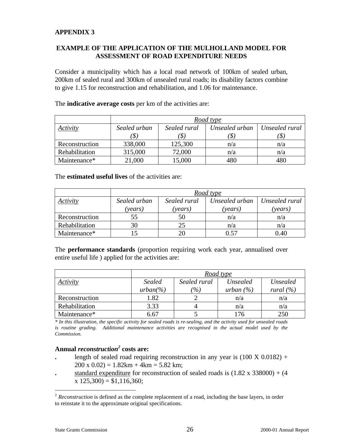#### **EXAMPLE OF THE APPLICATION OF THE MULHOLLAND MODEL FOR ASSESSMENT OF ROAD EXPENDITURE NEEDS**

Consider a municipality which has a local road network of 100km of sealed urban, 200km of sealed rural and 300km of unsealed rural roads; its disability factors combine to give 1.15 for reconstruction and rehabilitation, and 1.06 for maintenance.

|                | Road type    |              |                 |                |
|----------------|--------------|--------------|-----------------|----------------|
| Activity       | Sealed urban | Sealed rural | Unsealed urban  | Unsealed rural |
|                | 'S)          | (\$          |                 |                |
| Reconstruction | 338,000      | 125,300      | n/a             | n/a            |
| Rehabilitation | 315,000      | 72,000       | n/a             | n/a            |
| Maintenance*   | 21,000       | 15,000       | 48 <sup>c</sup> | 480            |

The **indicative average costs** per km of the activities are:

The **estimated useful lives** of the activities are:

|                | Road type      |                |                |                |  |
|----------------|----------------|----------------|----------------|----------------|--|
| Activity       | Sealed urban   | Sealed rural   | Unsealed urban | Unsealed rural |  |
|                | <i>vears</i> ) | <i>(vears)</i> | 'vears)        | 'vears)        |  |
| Reconstruction | 55             | 50             | n/a            | n/a            |  |
| Rehabilitation | 30             | 25             | n/a            | n/a            |  |
| Maintenance*   |                | 20             | D 57           | 0.40           |  |

The **performance standards** (proportion requiring work each year, annualised over entire useful life ) applied for the activities are:

|                |               |                 | Road type     |               |
|----------------|---------------|-----------------|---------------|---------------|
| Activity       | <b>Sealed</b> | Sealed rural    | Unsealed      | Unsealed      |
|                | $urban(\% )$  | $\frac{\%}{\%}$ | urban $(\% )$ | rural $(\% )$ |
| Reconstruction | 1.82          |                 | n/a           | n/a           |
| Rehabilitation | 3.33          |                 | n/a           | n/a           |
| Maintenance*   | 6.67          |                 | 176           | 250           |

*\* In this illustration, the specific activity for sealed roads is re-sealing, and the activity used for unsealed roads is routine grading. Additional maintenance activities are recognised in the actual model used by the Commission.*

### **Annual** *reconstruction<sup>2</sup>*  **costs are:**

- length of sealed road requiring reconstruction in any year is  $(100 \text{ X } 0.0182)$  +  $200 \times 0.02$ ) = 1.82km + 4km = 5.82 km;
- standard expenditure for reconstruction of sealed roads is  $(1.82 \times 338000) + (4.82 \times 338000)$  $x 125,300 = $1,116,360;$

1

<sup>&</sup>lt;sup>2</sup> *Reconstruction* is defined as the complete replacement of a road, including the base layers, in order to reinstate it to the approximate original specifications.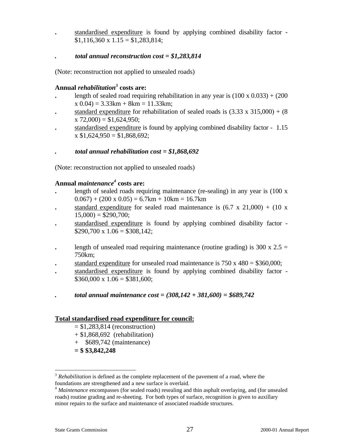**.** standardised expenditure is found by applying combined disability factor -  $$1,116,360 \times 1.15 = $1,283,814;$ 

#### *. total annual reconstruction cost = \$1,283,814*

(Note: reconstruction not applied to unsealed roads)

#### **Annual** *rehabilitation<sup>3</sup>*  **costs are:**

- length of sealed road requiring rehabilitation in any year is  $(100 \times 0.033) + (200$  $x(0.04) = 3.33km + 8km = 11.33km;$
- standard expenditure for rehabilitation of sealed roads is  $(3.33 \times 315,000) + (8$  $x 72,000$  = \$1,624,950;
- **.** standardised expenditure is found by applying combined disability factor 1.15  $x $1,624,950 = $1,868,692;$

#### *. total annual rehabilitation cost = \$1,868,692*

(Note: reconstruction not applied to unsealed roads)

#### **Annual** *maintenance<sup>4</sup>*  **costs are:**

- length of sealed roads requiring maintenance (re-sealing) in any year is (100 x  $(0.067) + (200 \times 0.05) = 6.7 \text{km} + 10 \text{km} = 16.7 \text{km}$
- standard expenditure for sealed road maintenance is  $(6.7 \times 21,000) + (10 \times$  $15,000$  = \$290,700;
- **.** standardised expenditure is found by applying combined disability factor  $$290,700 \times 1.06 = $308,142;$
- length of unsealed road requiring maintenance (routine grading) is  $300 \times 2.5 =$ 750km;
- standard expenditure for unsealed road maintenance is  $750 \times 480 = $360,000$ ;
- **.** standardised expenditure is found by applying combined disability factor  $$360,000 \times 1.06 = $381,600;$
- *. total annual maintenance cost = (308,142 + 381,600) = \$689,742*

#### **Total standardised road expenditure for council:**

- $= $1,283,814$  (reconstruction)
- $+$  \$1,868,692 (rehabilitation)
- + \$689,742 (maintenance)
- **= \$ \$3,842,248**

1

<sup>&</sup>lt;sup>3</sup> *Rehabilitation* is defined as the complete replacement of the pavement of a road, where the foundations are strengthened and a new surface is overlaid.

<sup>4</sup> *Maintenance* encompasses (for sealed roads) resealing and thin asphalt overlaying, and (for unsealed roads) routine grading and re-sheeting. For both types of surface, recognition is given to auxillary minor repairs to the surface and maintenance of associated roadside structures.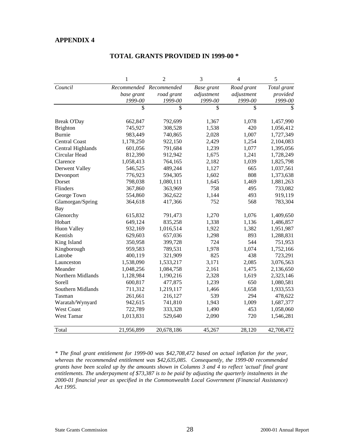|                      | 1          | $\overline{2}$          | 3          | 4          | 5           |
|----------------------|------------|-------------------------|------------|------------|-------------|
| Council              |            | Recommended Recommended | Base grant | Road grant | Total grant |
|                      | base grant | road grant              | adjustment | adjustment | provided    |
|                      | 1999-00    | 1999-00                 | 1999-00    | 1999-00    | 1999-00     |
|                      | \$         | \$                      | \$         | \$         | \$          |
| <b>Break O'Day</b>   | 662,847    | 792,699                 | 1,367      | 1,078      | 1,457,990   |
| Brighton             | 745,927    | 308,528                 | 1,538      | 420        | 1,056,412   |
| <b>Burnie</b>        | 983,449    | 740,865                 | 2,028      | 1,007      | 1,727,349   |
| <b>Central Coast</b> | 1,178,250  | 922,150                 | 2,429      | 1,254      | 2,104,083   |
| Central Highlands    | 601,056    | 791,684                 | 1,239      | 1,077      | 1,395,056   |
| Circular Head        | 812,390    | 912,942                 | 1,675      | 1,241      | 1,728,249   |
| Clarence             | 1,058,413  | 764,165                 | 2,182      | 1,039      | 1,825,798   |
| Derwent Valley       | 546,525    | 489,244                 | 1,127      | 665        | 1,037,561   |
| Devonport            | 776,923    | 594,305                 | 1,602      | 808        | 1,373,638   |
| Dorset               | 798,038    | 1,080,111               | 1,645      | 1,469      | 1,881,263   |
| Flinders             | 367,860    | 363,969                 | 758        | 495        | 733,082     |
| George Town          | 554,860    | 362,622                 | 1,144      | 493        | 919,119     |
| Glamorgan/Spring     | 364,618    | 417,366                 | 752        | 568        | 783,304     |
| <b>Bay</b>           |            |                         |            |            |             |
| Glenorchy            | 615,832    | 791,473                 | 1,270      | 1,076      | 1,409,650   |
| Hobart               | 649,124    | 835,258                 | 1,338      | 1,136      | 1,486,857   |
| <b>Huon Valley</b>   | 932,169    | 1,016,514               | 1,922      | 1,382      | 1,951,987   |
| Kentish              | 629,603    | 657,036                 | 1,298      | 893        | 1,288,831   |
| King Island          | 350,958    | 399,728                 | 724        | 544        | 751,953     |
| Kingborough          | 959,583    | 789,531                 | 1,978      | 1,074      | 1,752,166   |
| Latrobe              | 400,119    | 321,909                 | 825        | 438        | 723,291     |
| Launceston           | 1,538,090  | 1,533,217               | 3,171      | 2,085      | 3,076,563   |
| Meander              | 1,048,256  | 1,084,758               | 2,161      | 1,475      | 2,136,650   |
| Northern Midlands    | 1,128,984  | 1,190,216               | 2,328      | 1,619      | 2,323,146   |
| Sorell               | 600,817    | 477,875                 | 1,239      | 650        | 1,080,581   |
| Southern Midlands    | 711,312    | 1,219,117               | 1,466      | 1,658      | 1,933,553   |
| Tasman               | 261,661    | 216,127                 | 539        | 294        | 478,622     |
| Waratah/Wynyard      | 942,615    | 741,810                 | 1,943      | 1,009      | 1,687,377   |
| <b>West Coast</b>    | 722,789    | 333,328                 | 1,490      | 453        | 1,058,060   |
| West Tamar           | 1,013,831  | 529,640                 | 2,090      | 720        | 1,546,281   |
| Total                | 21,956,899 | 20,678,186              | 45,267     | 28,120     | 42,708,472  |

#### **TOTAL GRANTS PROVIDED IN 1999-00 \***

*\* The final grant entitlement for 1999-00 was \$42,708,472 based on actual inflation for the year, whereas the recommended entitlement was \$42,635,085. Consequently, the 1999-00 recommended grants have been scaled up by the amounts shown in Columns 3 and 4 to reflect 'actual' final grant entitlements. The underpayment of \$73,387 is to be paid by adjusting the quarterly instalments in the 2000-01 financial year as specified in the Commonwealth Local Government (Financial Assistance) Act 1995.*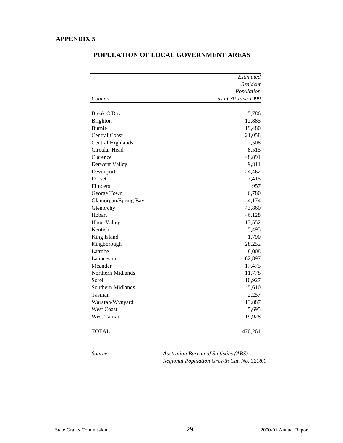|                      | Estimated          |  |
|----------------------|--------------------|--|
|                      | Resident           |  |
|                      | Population         |  |
| Council              | as at 30 June 1999 |  |
| <b>Break O'Day</b>   | 5,786              |  |
| <b>Brighton</b>      | 12,885             |  |
| Burnie               | 19,480             |  |
| <b>Central Coast</b> | 21,058             |  |
| Central Highlands    | 2,508              |  |
| Circular Head        | 8,515              |  |
| Clarence             | 48,891             |  |
| Derwent Valley       | 9,811              |  |
| Devonport            | 24,462             |  |
| Dorset               | 7,415              |  |
| Flinders             | 957                |  |
| George Town          | 6,780              |  |
| Glamorgan/Spring Bay | 4,174              |  |
| Glenorchy            | 43,860             |  |
| Hobart               | 46,128             |  |
| <b>Huon Valley</b>   | 13,552             |  |
| Kentish              | 5,495              |  |
| King Island          | 1,790              |  |
| Kingborough          | 28,252             |  |
| Latrobe              | 8,008              |  |
| Launceston           | 62,897             |  |
| Meander              | 17,475             |  |
| Northern Midlands    | 11,778             |  |
| Sorell               | 10,927             |  |
| Southern Midlands    | 5,610              |  |
| Tasman               | 2,257              |  |
| Waratah/Wynyard      | 13,887             |  |
| <b>West Coast</b>    | 5,695              |  |
| West Tamar           | 19,928             |  |
| <b>TOTAL</b>         | 470,261            |  |

### **POPULATION OF LOCAL GOVERNMENT AREAS**

*Source: Australian Bureau of Statistics (ABS) Regional Population Growth Cat. No. 3218.0*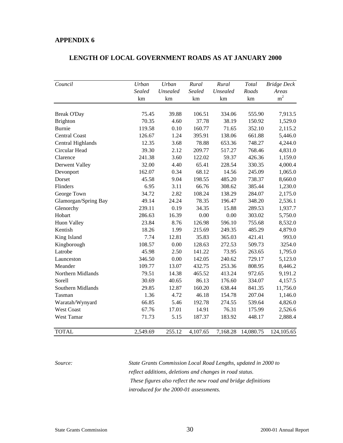#### **LENGTH OF LOCAL GOVERNMENT ROADS AS AT JANUARY 2000**

| Council              | Urban         | Urban    | Rural         | Rural    | Total     | <b>Bridge Deck</b> |
|----------------------|---------------|----------|---------------|----------|-----------|--------------------|
|                      | <b>Sealed</b> | Unsealed | <b>Sealed</b> | Unsealed | Roads     | Areas              |
|                      | km            | km       | km            | km       | km        | m <sup>2</sup>     |
|                      |               |          |               |          |           |                    |
| <b>Break O'Day</b>   | 75.45         | 39.88    | 106.51        | 334.06   | 555.90    | 7,913.5            |
| Brighton             | 70.35         | 4.60     | 37.78         | 38.19    | 150.92    | 1,529.0            |
| <b>Burnie</b>        | 119.58        | 0.10     | 160.77        | 71.65    | 352.10    | 2,115.2            |
| <b>Central Coast</b> | 126.67        | 1.24     | 395.91        | 138.06   | 661.88    | 5,446.0            |
| Central Highlands    | 12.35         | 3.68     | 78.88         | 653.36   | 748.27    | 4,244.0            |
| Circular Head        | 39.30         | 2.12     | 209.77        | 517.27   | 768.46    | 4,831.0            |
| Clarence             | 241.38        | 3.60     | 122.02        | 59.37    | 426.36    | 1,159.0            |
| Derwent Valley       | 32.00         | 4.40     | 65.41         | 228.54   | 330.35    | 4,000.4            |
| Devonport            | 162.07        | 0.34     | 68.12         | 14.56    | 245.09    | 1,065.0            |
| Dorset               | 45.58         | 9.04     | 198.55        | 485.20   | 738.37    | 8,660.0            |
| Flinders             | 6.95          | 3.11     | 66.76         | 308.62   | 385.44    | 1,230.0            |
| George Town          | 34.72         | 2.82     | 108.24        | 138.29   | 284.07    | 2,175.0            |
| Glamorgan/Spring Bay | 49.14         | 24.24    | 78.35         | 196.47   | 348.20    | 2,536.1            |
| Glenorchy            | 239.11        | 0.19     | 34.35         | 15.88    | 289.53    | 1,937.7            |
| Hobart               | 286.63        | 16.39    | 0.00          | 0.00     | 303.02    | 5,750.0            |
| <b>Huon Valley</b>   | 23.84         | 8.76     | 126.98        | 596.10   | 755.68    | 8,532.0            |
| Kentish              | 18.26         | 1.99     | 215.69        | 249.35   | 485.29    | 4,879.0            |
| King Island          | 7.74          | 12.81    | 35.83         | 365.03   | 421.41    | 993.0              |
| Kingborough          | 108.57        | 0.00     | 128.63        | 272.53   | 509.73    | 3254.0             |
| Latrobe              | 45.98         | 2.50     | 141.22        | 73.95    | 263.65    | 1,795.0            |
| Launceston           | 346.50        | 0.00     | 142.05        | 240.62   | 729.17    | 5,123.0            |
| Meander              | 109.77        | 13.07    | 432.75        | 253.36   | 808.95    | 8,446.2            |
| Northern Midlands    | 79.51         | 14.38    | 465.52        | 413.24   | 972.65    | 9,191.2            |
| Sorell               | 30.69         | 40.65    | 86.13         | 176.60   | 334.07    | 4,157.5            |
| Southern Midlands    | 29.85         | 12.87    | 160.20        | 638.44   | 841.35    | 11,756.0           |
| Tasman               | 1.36          | 4.72     | 46.18         | 154.78   | 207.04    | 1,146.0            |
| Waratah/Wynyard      | 66.85         | 5.46     | 192.78        | 274.55   | 539.64    | 4,826.0            |
| <b>West Coast</b>    | 67.76         | 17.01    | 14.91         | 76.31    | 175.99    | 2,526.6            |
| West Tamar           | 71.73         | 5.15     | 187.37        | 183.92   | 448.17    | 2,888.4            |
|                      |               |          |               |          |           |                    |
| <b>TOTAL</b>         | 2,549.69      | 255.12   | 4,107.65      | 7,168.28 | 14,080.75 | 124,105.65         |

*Source: State Grants Commission Local Road Lengths, updated in 2000 to reflect additions, deletions and changes in road status. These figures also reflect the new road and bridge definitions introduced for the 2000-01 assessments.*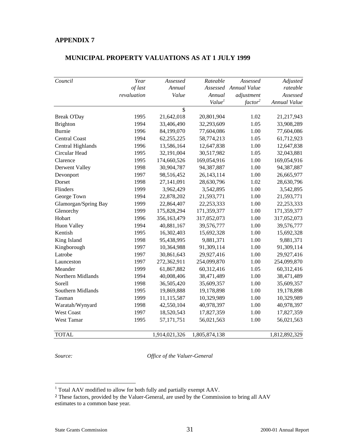#### **MUNICIPAL PROPERTY VALUATIONS AS AT 1 JULY 1999**

| Council              | Year        | Assessed      | Rateable           | Assessed              | Adjusted      |
|----------------------|-------------|---------------|--------------------|-----------------------|---------------|
|                      | of last     | Annual        |                    | Assessed Annual Value | rateable      |
|                      | revaluation | Value         | Annual             | adjustment            | Assessed      |
|                      |             |               | Value <sup>1</sup> | factor <sup>2</sup>   | Annual Value  |
|                      |             | \$            |                    |                       |               |
| <b>Break O'Day</b>   | 1995        | 21,642,018    | 20,801,904         | 1.02                  | 21,217,943    |
| Brighton             | 1994        | 33,406,490    | 32,293,609         | 1.05                  | 33,908,289    |
| <b>Burnie</b>        | 1996        | 84,199,070    | 77,604,086         | 1.00                  | 77,604,086    |
| <b>Central Coast</b> | 1994        | 62,255,225    | 58,774,213         | 1.05                  | 61,712,923    |
| Central Highlands    | 1996        | 13,586,164    | 12,647,838         | 1.00                  | 12,647,838    |
| Circular Head        | 1995        | 32,191,004    | 30,517,982         | 1.05                  | 32,043,881    |
| Clarence             | 1995        | 174,660,526   | 169,054,916        | 1.00                  | 169,054,916   |
| Derwent Valley       | 1998        | 30,904,787    | 94,387,887         | 1.00                  | 94,387,887    |
| Devonport            | 1997        | 98,516,452    | 26, 143, 114       | 1.00                  | 26,665,977    |
| Dorset               | 1998        | 27,141,091    | 28,630,796         | 1.02                  | 28,630,796    |
| Flinders             | 1999        | 3,962,429     | 3,542,895          | 1.00                  | 3,542,895     |
| George Town          | 1994        | 22,878,202    | 21,593,771         | 1.00                  | 21,593,771    |
| Glamorgan/Spring Bay | 1999        | 22,864,407    | 22, 253, 333       | 1.00                  | 22, 253, 333  |
| Glenorchy            | 1999        | 175,828,294   | 171,359,377        | 1.00                  | 171,359,377   |
| Hobart               | 1996        | 356,163,479   | 317,052,073        | 1.00                  | 317,052,073   |
| <b>Huon Valley</b>   | 1994        | 40,881,167    | 39,576,777         | 1.00                  | 39,576,777    |
| Kentish              | 1995        | 16,302,403    | 15,692,328         | 1.00                  | 15,692,328    |
| King Island          | 1998        | 95,438,995    | 9,881,371          | 1.00                  | 9,881,371     |
| Kingborough          | 1997        | 10,364,988    | 91,309,114         | 1.00                  | 91,309,114    |
| Latrobe              | 1997        | 30,861,643    | 29,927,416         | 1.00                  | 29,927,416    |
| Launceston           | 1997        | 272,362,911   | 254,099,870        | 1.00                  | 254,099,870   |
| Meander              | 1999        | 61,867,882    | 60,312,416         | 1.05                  | 60,312,416    |
| Northern Midlands    | 1994        | 40,008,406    | 38,471,489         | 1.00                  | 38,471,489    |
| Sorell               | 1998        | 36,505,420    | 35,609,357         | 1.00                  | 35,609,357    |
| Southern Midlands    | 1995        | 19,869,888    | 19,178,898         | 1.00                  | 19,178,898    |
| Tasman               | 1999        | 11,115,587    | 10,329,989         | 1.00                  | 10,329,989    |
| Waratah/Wynyard      | 1998        | 42,550,104    | 40,978,397         | 1.00                  | 40,978,397    |
| <b>West Coast</b>    | 1997        | 18,520,543    | 17,827,359         | 1.00                  | 17,827,359    |
| West Tamar           | 1995        | 57, 171, 751  | 56,021,563         | 1.00                  | 56,021,563    |
| <b>TOTAL</b>         |             | 1,914,021,326 | 1,805,874,138      |                       | 1,812,892,329 |

*Source: Office of the Valuer-General*

 1 Total AAV modified to allow for both fully and partially exempt AAV.

<sup>2</sup> These factors, provided by the Valuer-General, are used by the Commission to bring all AAV estimates to a common base year*.*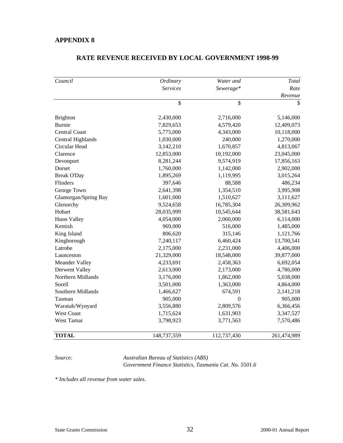| Council              | Ordinary        | Water and      | Total       |
|----------------------|-----------------|----------------|-------------|
|                      | <b>Services</b> | Sewerage*      | Rate        |
|                      |                 |                | Revenue     |
|                      | $\overline{\$}$ | \$             | \$          |
| <b>Brighton</b>      | 2,430,000       | 2,716,000      | 5,146,000   |
| <b>Burnie</b>        | 7,829,653       | 4,579,420      | 12,409,073  |
| <b>Central Coast</b> | 5,775,000       | 4,343,000      | 10,118,000  |
| Central Highlands    | 1,030,000       | 240,000        | 1,270,000   |
| Circular Head        | 3,142,210       | 1,670,857      | 4,813,067   |
| Clarence             | 12,853,000      | 10,192,000     | 23,045,000  |
| Devonport            | 8,281,244       | 9,574,919      | 17,856,163  |
| Dorset               | 1,760,000       | 1,142,000      | 2,902,000   |
| <b>Break O'Day</b>   | 1,895,269       | 1,119,995      | 3,015,264   |
| Flinders             | 397,646         | 88,588         | 486,234     |
| George Town          | 2,641,398       | 1,354,510      | 3,995,908   |
| Glamorgan/Spring Bay | 1,601,000       | 1,510,627      | 3,111,627   |
| Glenorchy            | 9,524,658       | 16,785,304     | 26,309,962  |
| Hobart               | 28,035,999      | 10,545,644     | 38,581,643  |
| <b>Huon Valley</b>   | 4,054,000       | 2,060,000      | 6,114,000   |
| Kentish              | 969,000         | 516,000        | 1,485,000   |
| King Island          | 806,620         | 315,146        | 1,121,766   |
| Kingborough          | 7,240,117       | 6,460,424      | 13,700,541  |
| Latrobe              | 2,175,000       | 2,231,000      | 4,406,000   |
| Launceston           | 21,329,000      | 18,548,000     | 39,877,000  |
| Meander Valley       | 4,233,691       | 2,458,363      | 6,692,054   |
| Derwent Valley       | 2,613,000       | 2,173,000      | 4,786,000   |
| Northern Midlands    | 3,176,000       | 1,862,000      | 5,038,000   |
| Sorell               | 3,501,000       | 1,363,000      | 4,864,000   |
| Southern Midlands    | 1,466,627       | 674,591        | 2,141,218   |
| Tasman               | 905,000         | $\overline{0}$ | 905,000     |
| Waratah/Wynyard      | 3,556,880       | 2,809,576      | 6,366,456   |
| <b>West Coast</b>    | 1,715,624       | 1,631,903      | 3,347,527   |
| West Tamar           | 3,798,923       | 3,771,563      | 7,570,486   |
| <b>TOTAL</b>         | 148,737,559     | 112,737,430    | 261,474,989 |

#### **RATE REVENUE RECEIVED BY LOCAL GOVERNMENT 1998-99**

*Source: Australian Bureau of Statistics (ABS) Government Finance Statistics, Tasmania Cat. No. 5501.6*

*\* Includes all revenue from water sales.*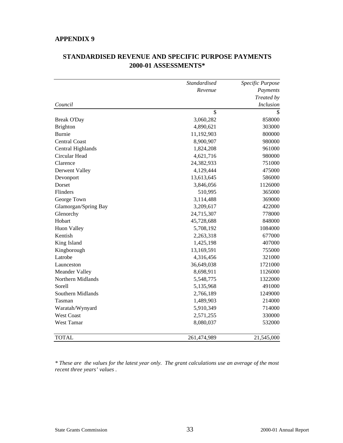|                      | Standardised | Specific Purpose |
|----------------------|--------------|------------------|
|                      | Revenue      | Payments         |
|                      |              | Treated by       |
| Council              |              | <i>Inclusion</i> |
|                      | \$           |                  |
| <b>Break O'Day</b>   | 3,060,282    | 858000           |
| <b>Brighton</b>      | 4,890,621    | 303000           |
| <b>Burnie</b>        | 11,192,903   | 800000           |
| <b>Central Coast</b> | 8,900,907    | 980000           |
| Central Highlands    | 1,824,208    | 961000           |
| Circular Head        | 4,621,716    | 980000           |
| Clarence             | 24,382,933   | 751000           |
| Derwent Valley       | 4,129,444    | 475000           |
| Devonport            | 13,613,645   | 586000           |
| Dorset               | 3,846,056    | 1126000          |
| Flinders             | 510,995      | 365000           |
| George Town          | 3,114,488    | 369000           |
| Glamorgan/Spring Bay | 3,209,617    | 422000           |
| Glenorchy            | 24,715,307   | 778000           |
| Hobart               | 45,728,688   | 848000           |
| <b>Huon Valley</b>   | 5,708,192    | 1084000          |
| Kentish              | 2,263,318    | 677000           |
| King Island          | 1,425,198    | 407000           |
| Kingborough          | 13,169,591   | 755000           |
| Latrobe              | 4,316,456    | 321000           |
| Launceston           | 36,649,038   | 1721000          |
| Meander Valley       | 8,698,911    | 1126000          |
| Northern Midlands    | 5,548,775    | 1322000          |
| Sorell               | 5,135,968    | 491000           |
| Southern Midlands    | 2,766,189    | 1249000          |
| Tasman               | 1,489,903    | 214000           |
| Waratah/Wynyard      | 5,910,349    | 714000           |
| <b>West Coast</b>    | 2,571,255    | 330000           |
| West Tamar           | 8,080,037    | 532000           |
| <b>TOTAL</b>         | 261,474,989  | 21,545,000       |

# **STANDARDISED REVENUE AND SPECIFIC PURPOSE PAYMENTS 2000-01 ASSESSMENTS\***

*\* These are the values for the latest year only. The grant calculations use an average of the most recent three years' values .*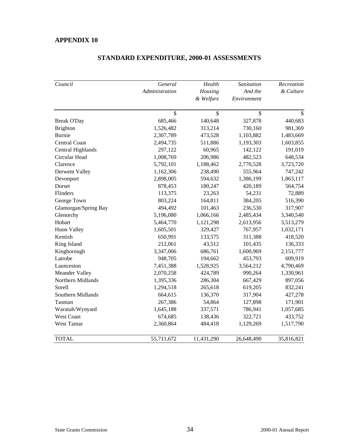| Council              | General        | Health     | Sanitation  | Recreation |
|----------------------|----------------|------------|-------------|------------|
|                      | Administration | Housing    | And the     | & Culture  |
|                      |                | & Welfare  | Environment |            |
|                      | \$             | \$         | \$          | \$         |
| <b>Break O'Day</b>   | 685,466        | 140,648    | 327,878     | 440,683    |
| <b>Brighton</b>      | 1,526,482      | 313,214    | 730,160     | 981,369    |
| <b>Burnie</b>        | 2,307,789      | 473,528    | 1,103,882   | 1,483,669  |
| <b>Central Coast</b> | 2,494,735      | 511,886    | 1,193,303   | 1,603,855  |
| Central Highlands    | 297,122        | 60,965     | 142,122     | 191,019    |
| Circular Head        | 1,008,769      | 206,986    | 482,523     | 648,534    |
| Clarence             | 5,792,101      | 1,188,462  | 2,770,528   | 3,723,720  |
| Derwent Valley       | 1,162,306      | 238,490    | 555,964     | 747,242    |
| Devonport            | 2,898,005      | 594,632    | 1,386,199   | 1,863,117  |
| Dorset               | 878,453        | 180,247    | 420,189     | 564,754    |
| Flinders             | 113,375        | 23,263     | 54,231      | 72,889     |
| George Town          | 803,224        | 164,811    | 384,205     | 516,390    |
| Glamorgan/Spring Bay | 494,492        | 101,463    | 236,530     | 317,907    |
| Glenorchy            | 5,196,080      | 1,066,166  | 2,485,434   | 3,340,540  |
| Hobart               | 5,464,770      | 1,121,298  | 2,613,956   | 3,513,279  |
| <b>Huon Valley</b>   | 1,605,501      | 329,427    | 767,957     | 1,032,171  |
| Kentish              | 650,991        | 133,575    | 311,388     | 418,520    |
| King Island          | 212,061        | 43,512     | 101,435     | 136,333    |
| Kingborough          | 3,347,006      | 686,761    | 1,600,969   | 2,151,777  |
| Latrobe              | 948,705        | 194,662    | 453,793     | 609,919    |
| Launceston           | 7,451,388      | 1,528,925  | 3,564,212   | 4,790,469  |
| Meander Valley       | 2,070,258      | 424,789    | 990,264     | 1,330,961  |
| Northern Midlands    | 1,395,336      | 286,304    | 667,429     | 897,056    |
| Sorell               | 1,294,518      | 265,618    | 619,205     | 832,241    |
| Southern Midlands    | 664,615        | 136,370    | 317,904     | 427,278    |
| Tasman               | 267,386        | 54,864     | 127,898     | 171,901    |
| Waratah/Wynyard      | 1,645,188      | 337,571    | 786,941     | 1,057,685  |
| <b>West Coast</b>    | 674,685        | 138,436    | 322,721     | 433,752    |
| West Tamar           | 2,360,864      | 484,418    | 1,129,269   | 1,517,790  |
| <b>TOTAL</b>         | 55,711,672     | 11,431,290 | 26,648,490  | 35,816,821 |

### **STANDARD EXPENDITURE, 2000-01 ASSESSMENTS**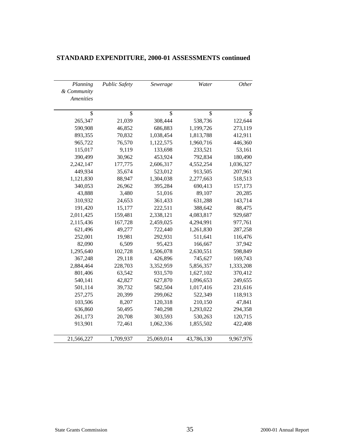| Planning         | <b>Public Safety</b> | Sewerage   | Water      | Other     |
|------------------|----------------------|------------|------------|-----------|
| & Community      |                      |            |            |           |
| <b>Amenities</b> |                      |            |            |           |
|                  |                      |            |            |           |
| \$               | \$                   | \$         | \$         | \$        |
| 265,347          | 21,039               | 308,444    | 538,736    | 122,644   |
| 590,908          | 46,852               | 686,883    | 1,199,726  | 273,119   |
| 893,355          | 70,832               | 1,038,454  | 1,813,788  | 412,911   |
| 965,722          | 76,570               | 1,122,575  | 1,960,716  | 446,360   |
| 115,017          | 9,119                | 133,698    | 233,521    | 53,161    |
| 390,499          | 30,962               | 453,924    | 792,834    | 180,490   |
| 2,242,147        | 177,775              | 2,606,317  | 4,552,254  | 1,036,327 |
| 449,934          | 35,674               | 523,012    | 913,505    | 207,961   |
| 1,121,830        | 88,947               | 1,304,038  | 2,277,663  | 518,513   |
| 340,053          | 26,962               | 395,284    | 690,413    | 157,173   |
| 43,888           | 3,480                | 51,016     | 89,107     | 20,285    |
| 310,932          | 24,653               | 361,433    | 631,288    | 143,714   |
| 191,420          | 15,177               | 222,511    | 388,642    | 88,475    |
| 2,011,425        | 159,481              | 2,338,121  | 4,083,817  | 929,687   |
| 2,115,436        | 167,728              | 2,459,025  | 4,294,991  | 977,761   |
| 621,496          | 49,277               | 722,440    | 1,261,830  | 287,258   |
| 252,001          | 19,981               | 292,931    | 511,641    | 116,476   |
| 82,090           | 6,509                | 95,423     | 166,667    | 37,942    |
| 1,295,640        | 102,728              | 1,506,078  | 2,630,551  | 598,849   |
| 367,248          | 29,118               | 426,896    | 745,627    | 169,743   |
| 2,884,464        | 228,703              | 3,352,959  | 5,856,357  | 1,333,208 |
| 801,406          | 63,542               | 931,570    | 1,627,102  | 370,412   |
| 540,141          | 42,827               | 627,870    | 1,096,653  | 249,655   |
| 501,114          | 39,732               | 582,504    | 1,017,416  | 231,616   |
| 257,275          | 20,399               | 299,062    | 522,349    | 118,913   |
| 103,506          | 8,207                | 120,318    | 210,150    | 47,841    |
| 636,860          | 50,495               | 740,298    | 1,293,022  | 294,358   |
| 261,173          | 20,708               | 303,593    | 530,263    | 120,715   |
| 913,901          | 72,461               | 1,062,336  | 1,855,502  | 422,408   |
|                  |                      |            |            |           |
| 21,566,227       | 1,709,937            | 25,069,014 | 43,786,130 | 9,967,976 |

### **STANDARD EXPENDITURE, 2000-01 ASSESSMENTS continued**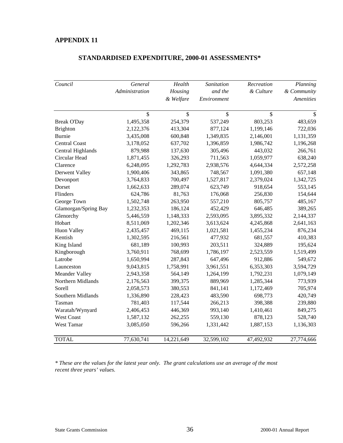| Council               | General        | Health     | Sanitation  | Recreation    | Planning         |
|-----------------------|----------------|------------|-------------|---------------|------------------|
|                       | Administration | Housing    | and the     | & Culture     | & Community      |
|                       |                | & Welfare  | Environment |               | <b>Amenities</b> |
|                       | \$             | \$         | \$          | $\mathsf{\$}$ | $\mathcal{S}$    |
| <b>Break O'Day</b>    | 1,495,358      | 254,379    | 537,249     | 803,253       | 483,659          |
| Brighton              | 2,122,376      | 413,304    | 877,124     | 1,199,146     | 722,036          |
| Burnie                | 3,435,008      | 600,848    | 1,349,835   | 2,146,001     | 1,131,359        |
| <b>Central Coast</b>  | 3,178,052      | 637,702    | 1,396,859   | 1,986,742     | 1,196,268        |
| Central Highlands     | 879,988        | 137,630    | 305,496     | 443,032       | 266,761          |
| Circular Head         | 1,871,455      | 326,293    | 711,563     | 1,059,977     | 638,240          |
| Clarence              | 6,248,095      | 1,292,783  | 2,938,576   | 4,644,334     | 2,572,258        |
| Derwent Valley        | 1,900,406      | 343,865    | 748,567     | 1,091,380     | 657,148          |
| Devonport             | 3,764,833      | 700,497    | 1,527,817   | 2,379,024     | 1,342,725        |
| Dorset                | 1,662,633      | 289,074    | 623,749     | 918,654       | 553,145          |
| Flinders              | 624,786        | 81,763     | 176,068     | 256,830       | 154,644          |
| George Town           | 1,502,748      | 263,950    | 557,210     | 805,757       | 485,167          |
| Glamorgan/Spring Bay  | 1,232,353      | 186,124    | 452,429     | 646,485       | 389,265          |
| Glenorchy             | 5,446,559      | 1,148,333  | 2,593,095   | 3,895,332     | 2,144,337        |
| Hobart                | 8,511,069      | 1,202,346  | 3,613,624   | 4,245,868     | 2,641,163        |
| Huon Valley           | 2,435,457      | 469,115    | 1,021,581   | 1,455,234     | 876,234          |
| Kentish               | 1,302,595      | 216,561    | 477,932     | 681,557       | 410,383          |
| King Island           | 681,189        | 100,993    | 203,511     | 324,889       | 195,624          |
| Kingborough           | 3,760,911      | 768,699    | 1,786,197   | 2,523,559     | 1,519,499        |
| Latrobe               | 1,650,994      | 287,843    | 647,496     | 912,886       | 549,672          |
| Launceston            | 9,043,815      | 1,758,991  | 3,961,551   | 6,353,303     | 3,594,729        |
| <b>Meander Valley</b> | 2,943,358      | 564,149    | 1,264,199   | 1,792,231     | 1,079,149        |
| Northern Midlands     | 2,176,563      | 399,375    | 889,969     | 1,285,344     | 773,939          |
| Sorell                | 2,058,573      | 380,553    | 841,141     | 1,172,469     | 705,974          |
| Southern Midlands     | 1,336,890      | 228,423    | 483,590     | 698,773       | 420,749          |
| Tasman                | 781,403        | 117,544    | 266,213     | 398,388       | 239,880          |
| Waratah/Wynyard       | 2,406,453      | 446,369    | 993,140     | 1,410,461     | 849,275          |
| West Coast            | 1,587,132      | 262,255    | 559,130     | 878,123       | 528,740          |
| West Tamar            | 3,085,050      | 596,266    | 1,331,442   | 1,887,153     | 1,136,303        |
| <b>TOTAL</b>          | 77,630,741     | 14,221,649 | 32,599,102  | 47,492,932    | 27,774,666       |

### **STANDARDISED EXPENDITURE, 2000-01 ASSESSMENTS\***

*\* These are the values for the latest year only. The grant calculations use an average of the most recent three years' values.*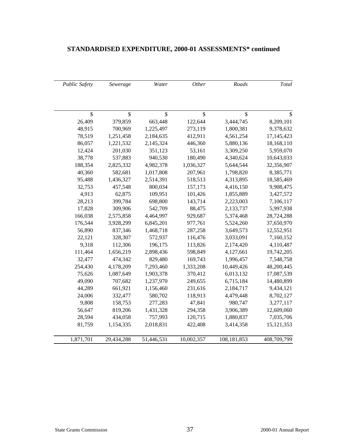| Total        | Roads         | Other      | Water      | Sewerage   | <b>Public Safety</b> |
|--------------|---------------|------------|------------|------------|----------------------|
|              |               |            |            |            |                      |
| \$           | \$            | \$         | \$         | \$         | \$                   |
| 8,209,101    | 3,444,745     | 122,644    | 663,448    | 379,859    | 26,409               |
| 9,378,632    | 1,800,381     | 273,119    | 1,225,497  | 700,969    | 48,915               |
| 17,145,423   | 4,561,254     | 412,911    | 2,184,635  | 1,251,458  | 78,519               |
| 18,168,110   | 5,880,136     | 446,360    | 2,145,324  | 1,221,532  | 86,057               |
| 5,959,070    | 3,309,250     | 53,161     | 351,123    | 201,030    | 12,424               |
| 10,643,033   | 4,340,624     | 180,490    | 940,530    | 537,883    | 38,778               |
| 32,356,907   | 5,644,544     | 1,036,327  | 4,982,378  | 2,825,332  | 188,354              |
| 8,385,771    | 1,798,820     | 207,961    | 1,017,808  | 582,681    | 40,360               |
| 18,585,469   | 4,313,895     | 518,513    | 2,514,391  | 1,436,327  | 95,488               |
| 9,908,475    | 4,416,150     | 157,173    | 800,034    | 457,548    | 32,753               |
| 3,427,572    | 1,855,889     | 101,426    | 109,951    | 62,875     | 4,913                |
| 7,106,117    | 2,223,003     | 143,714    | 698,800    | 399,784    | 28,213               |
| 5,997,938    | 2,133,737     | 88,475     | 542,709    | 309,906    | 17,828               |
| 28,724,288   | 5,374,468     | 929,687    | 4,464,997  | 2,575,858  | 166,038              |
| 37,650,970   | 5,524,260     | 977,761    | 6,845,201  | 3,928,299  | 176,544              |
| 12,552,951   | 3,649,573     | 287,258    | 1,468,718  | 837,346    | 56,890               |
| 7,160,152    | 3,033,091     | 116,476    | 572,937    | 328,307    | 22,121               |
| 4,110,487    | 2,174,420     | 113,826    | 196,175    | 112,306    | 9,318                |
| 19,742,205   | 4,127,661     | 598,849    | 2,898,436  | 1,656,219  | 111,464              |
| 7,548,758    | 1,996,457     | 169,743    | 829,480    | 474,342    | 32,477               |
| 48,200,445   | 10,449,426    | 1,333,208  | 7,293,460  | 4,178,209  | 254,430              |
| 17,087,539   | 6,013,132     | 370,412    | 1,903,378  | 1,087,649  | 75,626               |
| 14,480,899   | 6,715,184     | 249,655    | 1,237,970  | 707,682    | 49,090               |
| 9,434,121    | 2,184,717     | 231,616    | 1,156,460  | 661,921    | 44,289               |
| 8,702,127    | 4,479,448     | 118,913    | 580,702    | 332,477    | 24,006               |
| 3,277,117    | 980,747       | 47,841     | 277,283    | 158,753    | 9,808                |
| 12,609,060   | 3,906,389     | 294,358    | 1,431,328  | 819,206    | 56,647               |
| 7,035,706    | 1,880,837     | 120,715    | 757,993    | 434,058    | 28,594               |
| 15, 121, 353 | 3,414,358     | 422,408    | 2,018,831  | 1,154,335  | 81,759               |
| 408,709,799  | 108, 181, 853 | 10,002,357 | 51,446,531 | 29,434,288 | 1,871,701            |

# **STANDARDISED EXPENDITURE, 2000-01 ASSESSMENTS\* continued**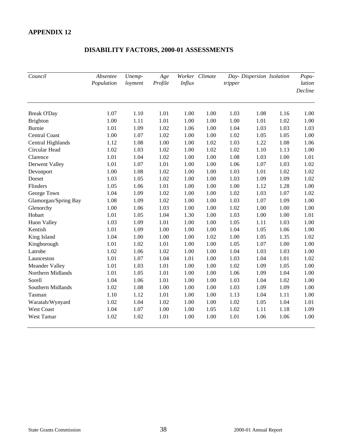| Council              | Absentee<br>Population | Unemp-<br>loyment | Age<br>Profile | <b>Influx</b> | Worker Climate | tripper |      | Day- Dispersion Isolation | Popu-<br>lation<br>Decline |
|----------------------|------------------------|-------------------|----------------|---------------|----------------|---------|------|---------------------------|----------------------------|
| <b>Break O'Day</b>   | 1.07                   | 1.10              | 1.01           | 1.00          | 1.00           | 1.03    | 1.08 | 1.16                      | 1.00                       |
| <b>Brighton</b>      | 1.00                   | 1.11              | 1.01           | 1.00          | 1.00           | 1.00    | 1.01 | 1.02                      | 1.00                       |
| <b>Burnie</b>        | 1.01                   | 1.09              | 1.02           | 1.06          | 1.00           | 1.04    | 1.03 | 1.03                      | 1.03                       |
| <b>Central Coast</b> | 1.00                   | 1.07              | 1.02           | 1.00          | 1.00           | 1.02    | 1.05 | 1.05                      | 1.00                       |
| Central Highlands    | 1.12                   | 1.08              | 1.00           | 1.00          | 1.02           | 1.03    | 1.22 | 1.08                      | 1.06                       |
| Circular Head        | 1.02                   | 1.03              | 1.02           | 1.00          | 1.02           | 1.02    | 1.10 | 1.13                      | 1.00                       |
| Clarence             | 1.01                   | 1.04              | 1.02           | 1.00          | 1.00           | 1.08    | 1.03 | 1.00                      | 1.01                       |
| Derwent Valley       | 1.01                   | 1.07              | 1.01           | 1.00          | 1.00           | 1.06    | 1.07 | 1.03                      | 1.02                       |
| Devonport            | 1.00                   | 1.08              | 1.02           | 1.00          | 1.00           | 1.03    | 1.01 | 1.02                      | 1.02                       |
| Dorset               | 1.03                   | 1.05              | 1.02           | 1.00          | 1.00           | 1.03    | 1.09 | 1.09                      | 1.02                       |
| Flinders             | 1.05                   | 1.06              | 1.01           | 1.00          | 1.00           | 1.00    | 1.12 | 1.28                      | 1.00                       |
| George Town          | 1.04                   | 1.09              | 1.02           | 1.00          | 1.00           | 1.02    | 1.03 | 1.07                      | 1.02                       |
| Glamorgan/Spring Bay | 1.08                   | 1.09              | 1.02           | 1.00          | 1.00           | 1.03    | 1.07 | 1.09                      | 1.00                       |
| Glenorchy            | 1.00                   | 1.06              | 1.03           | 1.00          | 1.00           | 1.02    | 1.00 | 1.00                      | 1.00                       |
| Hobart               | 1.01                   | 1.05              | 1.04           | 1.30          | 1.00           | 1.03    | 1.00 | 1.00                      | 1.01                       |
| <b>Huon Valley</b>   | 1.03                   | 1.09              | 1.01           | 1.00          | 1.00           | 1.05    | 1.11 | 1.03                      | 1.00                       |
| Kentish              | 1.01                   | 1.09              | 1.00           | 1.00          | 1.00           | 1.04    | 1.05 | 1.06                      | 1.00                       |
| King Island          | 1.04                   | 1.00              | 1.00           | 1.00          | 1.02           | 1.00    | 1.05 | 1.35                      | 1.02                       |
| Kingborough          | 1.01                   | 1.02              | 1.01           | 1.00          | 1.00           | 1.05    | 1.07 | 1.00                      | 1.00                       |
| Latrobe              | 1.02                   | 1.06              | 1.02           | 1.00          | 1.00           | 1.04    | 1.03 | 1.03                      | 1.00                       |
| Launceston           | 1.01                   | 1.07              | 1.04           | 1.01          | 1.00           | 1.03    | 1.04 | 1.01                      | 1.02                       |
| Meander Valley       | 1.01                   | 1.03              | 1.01           | 1.00          | 1.00           | 1.02    | 1.09 | 1.05                      | 1.00                       |
| Northern Midlands    | 1.01                   | 1.05              | 1.01           | 1.00          | 1.00           | 1.06    | 1.09 | 1.04                      | 1.00                       |
| Sorell               | 1.04                   | 1.06              | 1.01           | 1.00          | 1.00           | 1.03    | 1.04 | 1.02                      | 1.00                       |
| Southern Midlands    | 1.02                   | 1.08              | 1.00           | 1.00          | 1.00           | 1.03    | 1.09 | 1.09                      | 1.00                       |
| Tasman               | 1.10                   | 1.12              | 1.01           | 1.00          | 1.00           | 1.13    | 1.04 | 1.11                      | 1.00                       |
| Waratah/Wynyard      | 1.02                   | 1.04              | 1.02           | 1.00          | 1.00           | 1.02    | 1.05 | 1.04                      | 1.01                       |
| <b>West Coast</b>    | 1.04                   | 1.07              | 1.00           | 1.00          | 1.05           | 1.02    | 1.11 | 1.18                      | 1.09                       |
| West Tamar           | 1.02                   | 1.02              | 1.01           | 1.00          | 1.00           | 1.01    | 1.06 | 1.06                      | 1.00                       |

# **DISABILITY FACTORS, 2000-01 ASSESSMENTS**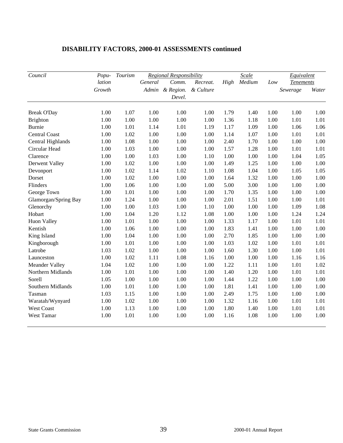| Council                   | Popu-  | Tourism |         | Regional Responsibility | Scale     |              |        |      | Equivalent       |              |
|---------------------------|--------|---------|---------|-------------------------|-----------|--------------|--------|------|------------------|--------------|
|                           | lation |         | General | Comm.                   | Recreat.  | High         | Medium | Low  | <b>Tenements</b> |              |
|                           | Growth |         |         | Admin & Region.         | & Culture |              |        |      | Sewerage         | Water        |
|                           |        |         |         | Devel.                  |           |              |        |      |                  |              |
|                           | 1.00   | 1.07    | 1.00    | 1.00                    | 1.00      |              | 1.40   | 1.00 | 1.00             |              |
| <b>Break O'Day</b>        | 1.00   | 1.00    | 1.00    | 1.00                    | 1.00      | 1.79<br>1.36 | 1.18   | 1.00 | 1.01             | 1.00<br>1.01 |
| Brighton<br><b>Burnie</b> |        |         |         |                         |           |              |        |      |                  |              |
|                           | 1.00   | 1.01    | 1.14    | 1.01                    | 1.19      | 1.17         | 1.09   | 1.00 | 1.06             | 1.06         |
| <b>Central Coast</b>      | 1.00   | 1.02    | 1.00    | 1.00                    | 1.00      | 1.14         | 1.07   | 1.00 | 1.01             | 1.01         |
| Central Highlands         | 1.00   | 1.08    | 1.00    | 1.00                    | 1.00      | 2.40         | 1.70   | 1.00 | 1.00             | 1.00         |
| Circular Head             | 1.00   | 1.03    | 1.00    | 1.00                    | 1.00      | 1.57         | 1.28   | 1.00 | 1.01             | 1.01         |
| Clarence                  | 1.00   | 1.00    | 1.03    | 1.00                    | 1.10      | 1.00         | 1.00   | 1.00 | 1.04             | 1.05         |
| Derwent Valley            | 1.00   | 1.02    | 1.00    | 1.00                    | 1.00      | 1.49         | 1.25   | 1.00 | 1.00             | 1.00         |
| Devonport                 | 1.00   | 1.02    | 1.14    | 1.02                    | 1.10      | 1.08         | 1.04   | 1.00 | 1.05             | 1.05         |
| Dorset                    | 1.00   | 1.02    | 1.00    | 1.00                    | 1.00      | 1.64         | 1.32   | 1.00 | 1.00             | 1.00         |
| Flinders                  | 1.00   | 1.06    | 1.00    | 1.00                    | 1.00      | 5.00         | 3.00   | 1.00 | 1.00             | 1.00         |
| George Town               | 1.00   | 1.01    | 1.00    | 1.00                    | 1.00      | 1.70         | 1.35   | 1.00 | 1.00             | 1.00         |
| Glamorgan/Spring Bay      | 1.00   | 1.24    | 1.00    | 1.00                    | 1.00      | 2.01         | 1.51   | 1.00 | 1.00             | 1.01         |
| Glenorchy                 | 1.00   | 1.00    | 1.03    | 1.00                    | 1.10      | 1.00         | 1.00   | 1.00 | 1.09             | 1.08         |
| Hobart                    | 1.00   | 1.04    | 1.20    | 1.12                    | 1.08      | 1.00         | 1.00   | 1.00 | 1.24             | 1.24         |
| Huon Valley               | 1.00   | 1.01    | 1.00    | 1.00                    | 1.00      | 1.33         | 1.17   | 1.00 | 1.01             | 1.01         |
| Kentish                   | 1.00   | 1.06    | 1.00    | 1.00                    | 1.00      | 1.83         | 1.41   | 1.00 | 1.00             | 1.00         |
| King Island               | 1.00   | 1.04    | 1.00    | 1.00                    | 1.00      | 2.70         | 1.85   | 1.00 | 1.00             | 1.00         |
| Kingborough               | 1.00   | 1.01    | 1.00    | 1.00                    | 1.00      | 1.03         | 1.02   | 1.00 | 1.01             | 1.01         |
| Latrobe                   | 1.03   | 1.02    | 1.00    | 1.00                    | 1.00      | 1.60         | 1.30   | 1.00 | 1.00             | 1.01         |
| Launceston                | 1.00   | 1.02    | 1.11    | 1.08                    | 1.16      | 1.00         | 1.00   | 1.00 | 1.16             | 1.16         |
| Meander Valley            | 1.04   | 1.02    | 1.00    | 1.00                    | 1.00      | 1.22         | 1.11   | 1.00 | 1.01             | 1.02         |
| Northern Midlands         | 1.00   | 1.01    | 1.00    | 1.00                    | 1.00      | 1.40         | 1.20   | 1.00 | 1.01             | 1.01         |
| Sorell                    | 1.05   | 1.00    | 1.00    | 1.00                    | 1.00      | 1.44         | 1.22   | 1.00 | 1.00             | 1.00         |
| Southern Midlands         | 1.00   | 1.01    | 1.00    | 1.00                    | 1.00      | 1.81         | 1.41   | 1.00 | 1.00             | 1.00         |
| Tasman                    | 1.03   | 1.15    | 1.00    | 1.00                    | 1.00      | 2.49         | 1.75   | 1.00 | 1.00             | 1.00         |
| Waratah/Wynyard           | 1.00   | 1.02    | 1.00    | 1.00                    | 1.00      | 1.32         | 1.16   | 1.00 | 1.01             | 1.01         |
| <b>West Coast</b>         | 1.00   | 1.13    | 1.00    | 1.00                    | 1.00      | 1.80         | 1.40   | 1.00 | 1.01             | 1.01         |
| West Tamar                | 1.00   | 1.01    | 1.00    | 1.00                    | 1.00      | 1.16         | 1.08   | 1.00 | 1.00             | 1.00         |

# **DISABILITY FACTORS, 2000-01 ASSESSMENTS continued**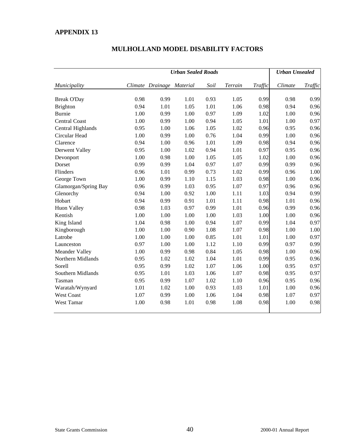|                      | <b>Urban Sealed Roads</b> |                           |      |      |         |         | <b>Urban Unsealed</b> |         |  |
|----------------------|---------------------------|---------------------------|------|------|---------|---------|-----------------------|---------|--|
| Municipality         |                           | Climate Drainage Material |      | Soil | Terrain | Traffic | Climate               | Traffic |  |
| <b>Break O'Day</b>   | 0.98                      | 0.99                      | 1.01 | 0.93 | 1.05    | 0.99    | 0.98                  | 0.99    |  |
| Brighton             | 0.94                      | 1.01                      | 1.05 | 1.01 | 1.06    | 0.98    | 0.94                  | 0.96    |  |
| <b>Burnie</b>        | 1.00                      | 0.99                      | 1.00 | 0.97 | 1.09    | 1.02    | 1.00                  | 0.96    |  |
| <b>Central Coast</b> | 1.00                      | 0.99                      | 1.00 | 0.94 | 1.05    | 1.01    | 1.00                  | 0.97    |  |
| Central Highlands    | 0.95                      | 1.00                      | 1.06 | 1.05 | 1.02    | 0.96    | 0.95                  | 0.96    |  |
| Circular Head        | 1.00                      | 0.99                      | 1.00 | 0.76 | 1.04    | 0.99    | 1.00                  | 0.96    |  |
| Clarence             | 0.94                      | 1.00                      | 0.96 | 1.01 | 1.09    | 0.98    | 0.94                  | 0.96    |  |
| Derwent Valley       | 0.95                      | 1.00                      | 1.02 | 0.94 | 1.01    | 0.97    | 0.95                  | 0.96    |  |
| Devonport            | 1.00                      | 0.98                      | 1.00 | 1.05 | 1.05    | 1.02    | 1.00                  | 0.96    |  |
| Dorset               | 0.99                      | 0.99                      | 1.04 | 0.97 | 1.07    | 0.99    | 0.99                  | 0.96    |  |
| Flinders             | 0.96                      | 1.01                      | 0.99 | 0.73 | 1.02    | 0.99    | 0.96                  | 1.00    |  |
| George Town          | 1.00                      | 0.99                      | 1.10 | 1.15 | 1.03    | 0.98    | 1.00                  | 0.96    |  |
| Glamorgan/Spring Bay | 0.96                      | 0.99                      | 1.03 | 0.95 | 1.07    | 0.97    | 0.96                  | 0.96    |  |
| Glenorchy            | 0.94                      | 1.00                      | 0.92 | 1.00 | 1.11    | 1.03    | 0.94                  | 0.99    |  |
| Hobart               | 0.94                      | 0.99                      | 0.91 | 1.01 | 1.11    | 0.98    | 1.01                  | 0.96    |  |
| <b>Huon Valley</b>   | 0.98                      | 1.03                      | 0.97 | 0.99 | 1.01    | 0.96    | 0.99                  | 0.96    |  |
| Kentish              | 1.00                      | 1.00                      | 1.00 | 1.00 | 1.03    | 1.00    | 1.00                  | 0.96    |  |
| King Island          | 1.04                      | 0.98                      | 1.00 | 0.94 | 1.07    | 0.99    | 1.04                  | 0.97    |  |
| Kingborough          | 1.00                      | 1.00                      | 0.90 | 1.08 | 1.07    | 0.98    | 1.00                  | 1.00    |  |
| Latrobe              | 1.00                      | 1.00                      | 1.00 | 0.85 | 1.01    | 1.01    | 1.00                  | 0.97    |  |
| Launceston           | 0.97                      | 1.00                      | 1.00 | 1.12 | 1.10    | 0.99    | 0.97                  | 0.99    |  |
| Meander Valley       | 1.00                      | 0.99                      | 0.98 | 0.84 | 1.05    | 0.98    | 1.00                  | 0.96    |  |
| Northern Midlands    | 0.95                      | 1.02                      | 1.02 | 1.04 | 1.01    | 0.99    | 0.95                  | 0.96    |  |
| Sorell               | 0.95                      | 0.99                      | 1.02 | 1.07 | 1.06    | 1.00    | 0.95                  | 0.97    |  |
| Southern Midlands    | 0.95                      | 1.01                      | 1.03 | 1.06 | 1.07    | 0.98    | 0.95                  | 0.97    |  |
| Tasman               | 0.95                      | 0.99                      | 1.07 | 1.02 | 1.10    | 0.96    | 0.95                  | 0.96    |  |
| Waratah/Wynyard      | 1.01                      | 1.02                      | 1.00 | 0.93 | 1.03    | 1.01    | 1.00                  | 0.96    |  |
| <b>West Coast</b>    | 1.07                      | 0.99                      | 1.00 | 1.06 | 1.04    | 0.98    | 1.07                  | 0.97    |  |
| West Tamar           | 1.00                      | 0.98                      | 1.01 | 0.98 | 1.08    | 0.98    | 1.00                  | 0.98    |  |

# **MULHOLLAND MODEL DISABILITY FACTORS**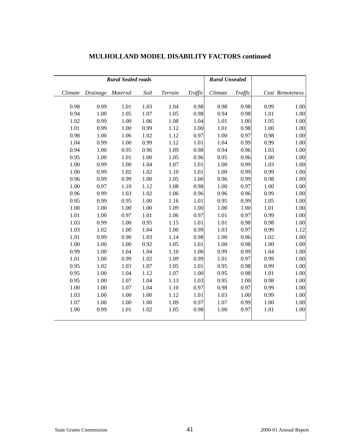|         | <b>Rural Sealed roads</b> |      |      |         |         | <b>Rural Unsealed</b> |         |      |                 |
|---------|---------------------------|------|------|---------|---------|-----------------------|---------|------|-----------------|
| Climate | Drainage Material         |      | Soil | Terrain | Traffic | Climate               | Traffic |      | Cost Remoteness |
| 0.98    | 0.99                      | 1.01 | 1.03 | 1.04    | 0.98    | 0.98                  | 0.98    | 0.99 | 1.00            |
| 0.94    | 1.00                      | 1.05 | 1.07 | 1.05    | 0.98    | 0.94                  | 0.98    | 1.01 | 1.00            |
| 1.02    | 0.99                      | 1.00 | 1.06 | 1.08    | 1.04    | 1.01                  | 1.00    | 1.05 | 1.00            |
| 1.01    | 0.99                      | 1.00 | 0.99 | 1.12    | 1.00    | 1.01                  | 0.98    | 1.00 | 1.00            |
| 0.98    | 1.00                      | 1.06 | 1.02 | 1.12    | 0.97    | 1.00                  | 0.97    | 0.98 | 1.00            |
| 1.04    | 0.99                      | 1.00 | 0.99 | 1.12    | 1.01    | 1.04                  | 0.99    | 0.99 | 1.00            |
| 0.94    | 1.00                      | 0.95 | 0.96 | 1.09    | 0.98    | 0.94                  | 0.96    | 1.03 | 1.00            |
| 0.95    | 1.00                      | 1.01 | 1.00 | 1.05    | 0.96    | 0.95                  | 0.96    | 1.00 | 1.00            |
| 1.00    | 0.99                      | 1.00 | 1.04 | 1.07    | 1.01    | 1.00                  | 0.99    | 1.03 | 1.00            |
| 1.00    | 0.99                      | 1.02 | 1.02 | 1.10    | 1.01    | 1.00                  | 0.99    | 0.99 | 1.00            |
| 0.96    | 0.99                      | 0.99 | 1.00 | 1.05    | 1.00    | 0.96                  | 0.99    | 0.98 | 1.09            |
| 1.00    | 0.97                      | 1.10 | 1.12 | 1.08    | 0.98    | 1.00                  | 0.97    | 1.00 | 1.00            |
| 0.96    | 0.99                      | 1.03 | 1.02 | 1.06    | 0.96    | 0.96                  | 0.96    | 0.99 | 1.00            |
| 0.95    | 0.99                      | 0.95 | 1.00 | 1.16    | 1.01    | 0.95                  | 0.99    | 1.05 | 1.00            |
| 1.00    | 1.00                      | 1.00 | 1.00 | 1.09    | 1.00    | 1.00                  | 1.00    | 1.01 | 1.00            |
| 1.01    | 1.00                      | 0.97 | 1.01 | 1.06    | 0.97    | 1.01                  | 0.97    | 0.99 | 1.00            |
| 1.03    | 0.99                      | 1.00 | 0.95 | 1.15    | 1.01    | 1.01                  | 0.98    | 0.98 | 1.00            |
| 1.03    | 1.02                      | 1.00 | 1.04 | 1.00    | 0.99    | 1.03                  | 0.97    | 0.99 | 1.12            |
| 1.01    | 0.99                      | 0.90 | 1.03 | 1.14    | 0.98    | 1.00                  | 0.96    | 1.02 | 1.00            |
| 1.00    | 1.00                      | 1.00 | 0.92 | 1.05    | 1.01    | 1.00                  | 0.98    | 1.00 | 1.00            |
| 0.99    | 1.00                      | 1.04 | 1.04 | 1.10    | 1.00    | 0.99                  | 0.99    | 1.04 | 1.00            |
| 1.01    | 1.00                      | 0.99 | 1.02 | 1.09    | 0.99    | 1.01                  | 0.97    | 0.99 | 1.00            |
| 0.95    | 1.02                      | 1.03 | 1.07 | 1.05    | 1.01    | 0.95                  | 0.98    | 0.99 | 1.00            |
| 0.95    | 1.00                      | 1.04 | 1.12 | 1.07    | 1.00    | 0.95                  | 0.98    | 1.01 | 1.00            |
| 0.95    | 1.00                      | 1.07 | 1.04 | 1.13    | 1.03    | 0.95                  | 1.00    | 0.98 | 1.00            |
| 1.00    | 1.00                      | 1.07 | 1.04 | 1.10    | 0.97    | 0.98                  | 0.97    | 0.99 | 1.00            |
| 1.03    | 1.00                      | 1.00 | 1.00 | 1.12    | 1.01    | 1.03                  | 1.00    | 0.99 | 1.00            |
| 1.07    | 1.00                      | 1.00 | 1.00 | 1.09    | 0.97    | 1.07                  | 0.99    | 1.00 | 1.00            |
| 1.00    | 0.99                      | 1.01 | 1.02 | 1.05    | 0.98    | 1.00                  | 0.97    | 1.01 | 1.00            |

# **MULHOLLAND MODEL DISABILITY FACTORS continued**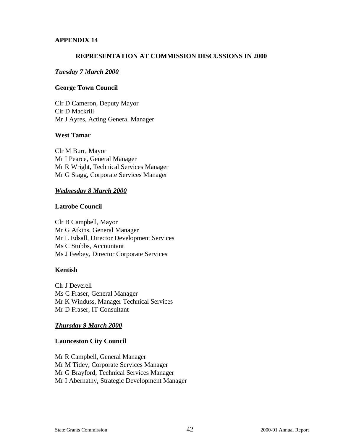#### **REPRESENTATION AT COMMISSION DISCUSSIONS IN 2000**

#### *Tuesday 7 March 2000*

#### **George Town Council**

Clr D Cameron, Deputy Mayor Clr D Mackrill Mr J Ayres, Acting General Manager

#### **West Tamar**

Clr M Burr, Mayor Mr I Pearce, General Manager Mr R Wright, Technical Services Manager Mr G Stagg, Corporate Services Manager

#### *Wednesday 8 March 2000*

#### **Latrobe Council**

Clr B Campbell, Mayor Mr G Atkins, General Manager Mr L Edsall, Director Development Services Ms C Stubbs, Accountant Ms J Feebey, Director Corporate Services

#### **Kentish**

Clr J Deverell Ms C Fraser, General Manager Mr K Winduss, Manager Technical Services Mr D Fraser, IT Consultant

#### *Thursday 9 March 2000*

#### **Launceston City Council**

Mr R Campbell, General Manager Mr M Tidey, Corporate Services Manager Mr G Brayford, Technical Services Manager Mr I Abernathy, Strategic Development Manager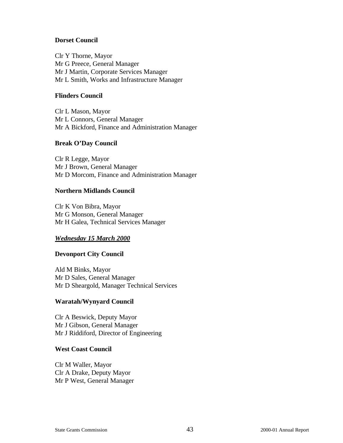#### **Dorset Council**

Clr Y Thorne, Mayor Mr G Preece, General Manager Mr J Martin, Corporate Services Manager Mr L Smith, Works and Infrastructure Manager

#### **Flinders Council**

Clr L Mason, Mayor Mr L Connors, General Manager Mr A Bickford, Finance and Administration Manager

#### **Break O'Day Council**

Clr R Legge, Mayor Mr J Brown, General Manager Mr D Morcom, Finance and Administration Manager

#### **Northern Midlands Council**

Clr K Von Bibra, Mayor Mr G Monson, General Manager Mr H Galea, Technical Services Manager

#### *Wednesday 15 March 2000*

#### **Devonport City Council**

Ald M Binks, Mayor Mr D Sales, General Manager Mr D Sheargold, Manager Technical Services

#### **Waratah/Wynyard Council**

Clr A Beswick, Deputy Mayor Mr J Gibson, General Manager Mr J Riddiford, Director of Engineering

#### **West Coast Council**

Clr M Waller, Mayor Clr A Drake, Deputy Mayor Mr P West, General Manager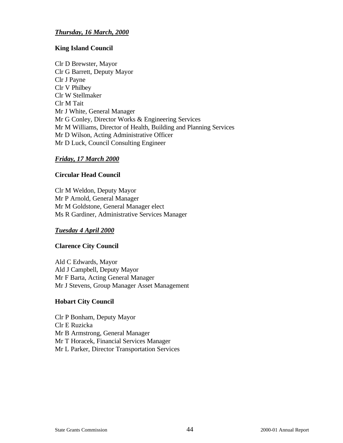#### *Thursday, 16 March, 2000*

#### **King Island Council**

Clr D Brewster, Mayor Clr G Barrett, Deputy Mayor Clr J Payne Clr V Philbey Clr W Stellmaker Clr M Tait Mr J White, General Manager Mr G Conley, Director Works & Engineering Services Mr M Williams, Director of Health, Building and Planning Services Mr D Wilson, Acting Administrative Officer Mr D Luck, Council Consulting Engineer

#### *Friday, 17 March 2000*

#### **Circular Head Council**

Clr M Weldon, Deputy Mayor Mr P Arnold, General Manager Mr M Goldstone, General Manager elect Ms R Gardiner, Administrative Services Manager

#### *Tuesday 4 April 2000*

#### **Clarence City Council**

Ald C Edwards, Mayor Ald J Campbell, Deputy Mayor Mr F Barta, Acting General Manager Mr J Stevens, Group Manager Asset Management

#### **Hobart City Council**

Clr P Bonham, Deputy Mayor Clr E Ruzicka Mr B Armstrong, General Manager Mr T Horacek, Financial Services Manager Mr L Parker, Director Transportation Services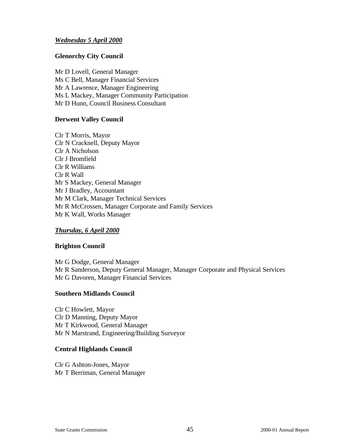#### *Wednesday 5 April 2000*

#### **Glenorchy City Council**

Mr D Lovell, General Manager Ms C Bell, Manager Financial Services Mr A Lawrence, Manager Engineering Ms L Mackey, Manager Community Participation Mr D Hunn, Council Business Consultant

#### **Derwent Valley Council**

Clr T Morris, Mayor Clr N Cracknell, Deputy Mayor Clr A Nicholson Clr J Bromfield Clr R Williams Clr R Wall Mr S Mackey, General Manager Mr J Bradley, Accountant Mr M Clark, Manager Technical Services Mr R McCrossen, Manager Corporate and Family Services Mr K Wall, Works Manager

#### *Thursday, 6 April 2000*

#### **Brighton Council**

Mr G Dodge, General Manager Mr R Sanderson, Deputy General Manager, Manager Corporate and Physical Services Mr G Davoren, Manager Financial Services

#### **Southern Midlands Council**

Clr C Howlett, Mayor Clr D Manning, Deputy Mayor Mr T Kirkwood, General Manager Mr N Marstrand, Engineering/Building Surveyor

#### **Central Highlands Council**

Clr G Ashton-Jones, Mayor Mr T Berriman, General Manager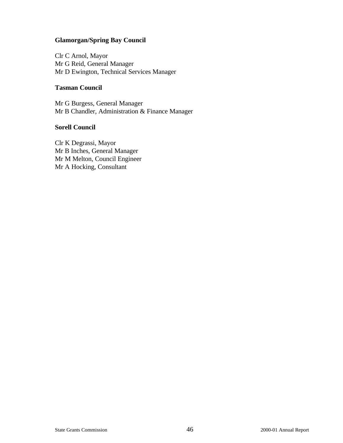#### **Glamorgan/Spring Bay Council**

Clr C Arnol, Mayor Mr G Reid, General Manager Mr D Ewington, Technical Services Manager

#### **Tasman Council**

Mr G Burgess, General Manager Mr B Chandler, Administration & Finance Manager

#### **Sorell Council**

Clr K Degrassi, Mayor Mr B Inches, General Manager Mr M Melton, Council Engineer Mr A Hocking, Consultant